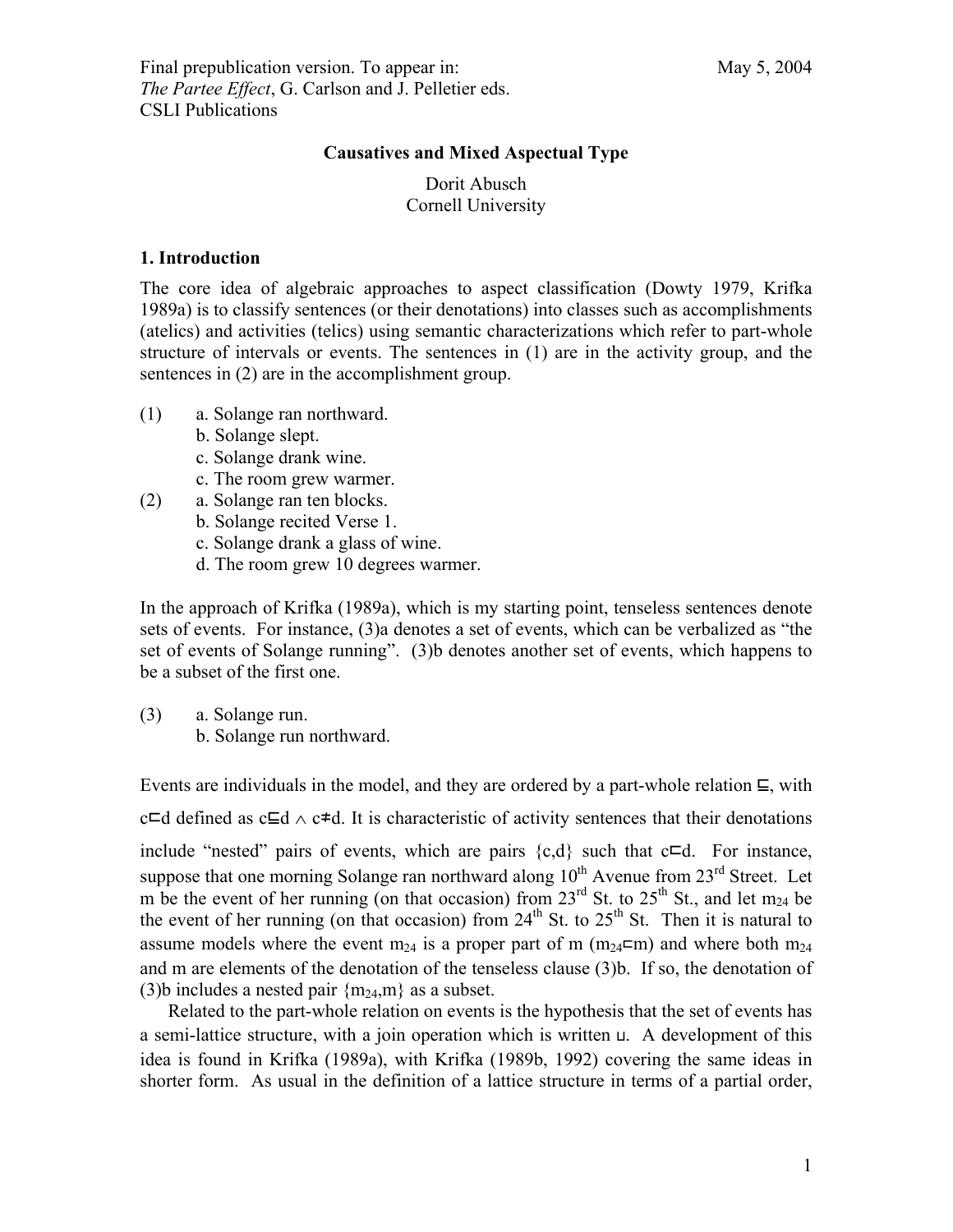Final prepublication version. To appear in: May 5, 2004 *The Partee Effect*, G. Carlson and J. Pelletier eds. CSLI Publications

# **Causatives and Mixed Aspectual Type**

Dorit Abusch Cornell University

# **1. Introduction**

The core idea of algebraic approaches to aspect classification (Dowty 1979, Krifka 1989a) is to classify sentences (or their denotations) into classes such as accomplishments (atelics) and activities (telics) using semantic characterizations which refer to part-whole structure of intervals or events. The sentences in (1) are in the activity group, and the sentences in (2) are in the accomplishment group.

- (1) a. Solange ran northward.
	- b. Solange slept.
	- c. Solange drank wine.
	- c. The room grew warmer.
- (2) a. Solange ran ten blocks.
	- b. Solange recited Verse 1.
	- c. Solange drank a glass of wine.
	- d. The room grew 10 degrees warmer.

In the approach of Krifka (1989a), which is my starting point, tenseless sentences denote sets of events. For instance, (3)a denotes a set of events, which can be verbalized as "the set of events of Solange running". (3)b denotes another set of events, which happens to be a subset of the first one.

(3) a. Solange run. b. Solange run northward.

Events are individuals in the model, and they are ordered by a part-whole relation ⊑, with c⊏d defined as c⊑d ∧ c≠d. It is characteristic of activity sentences that their denotations include "nested" pairs of events, which are pairs  $\{c,d\}$  such that  $c \sqsubset d$ . For instance, suppose that one morning Solange ran northward along  $10^{th}$  Avenue from  $23^{rd}$  Street. Let m be the event of her running (on that occasion) from  $23^{\text{rd}}$  St. to  $25^{\text{th}}$  St., and let m<sub>24</sub> be the event of her running (on that occasion) from  $24^{th}$  St. to  $25^{th}$  St. Then it is natural to assume models where the event m<sub>24</sub> is a proper part of m (m<sub>24</sub> $\text{cm}$ ) and where both m<sub>24</sub> and m are elements of the denotation of the tenseless clause (3)b. If so, the denotation of (3)b includes a nested pair  ${m_{24}, m}$  as a subset.

Related to the part-whole relation on events is the hypothesis that the set of events has a semi-lattice structure, with a join operation which is written ⊔. A development of this idea is found in Krifka (1989a), with Krifka (1989b, 1992) covering the same ideas in shorter form. As usual in the definition of a lattice structure in terms of a partial order,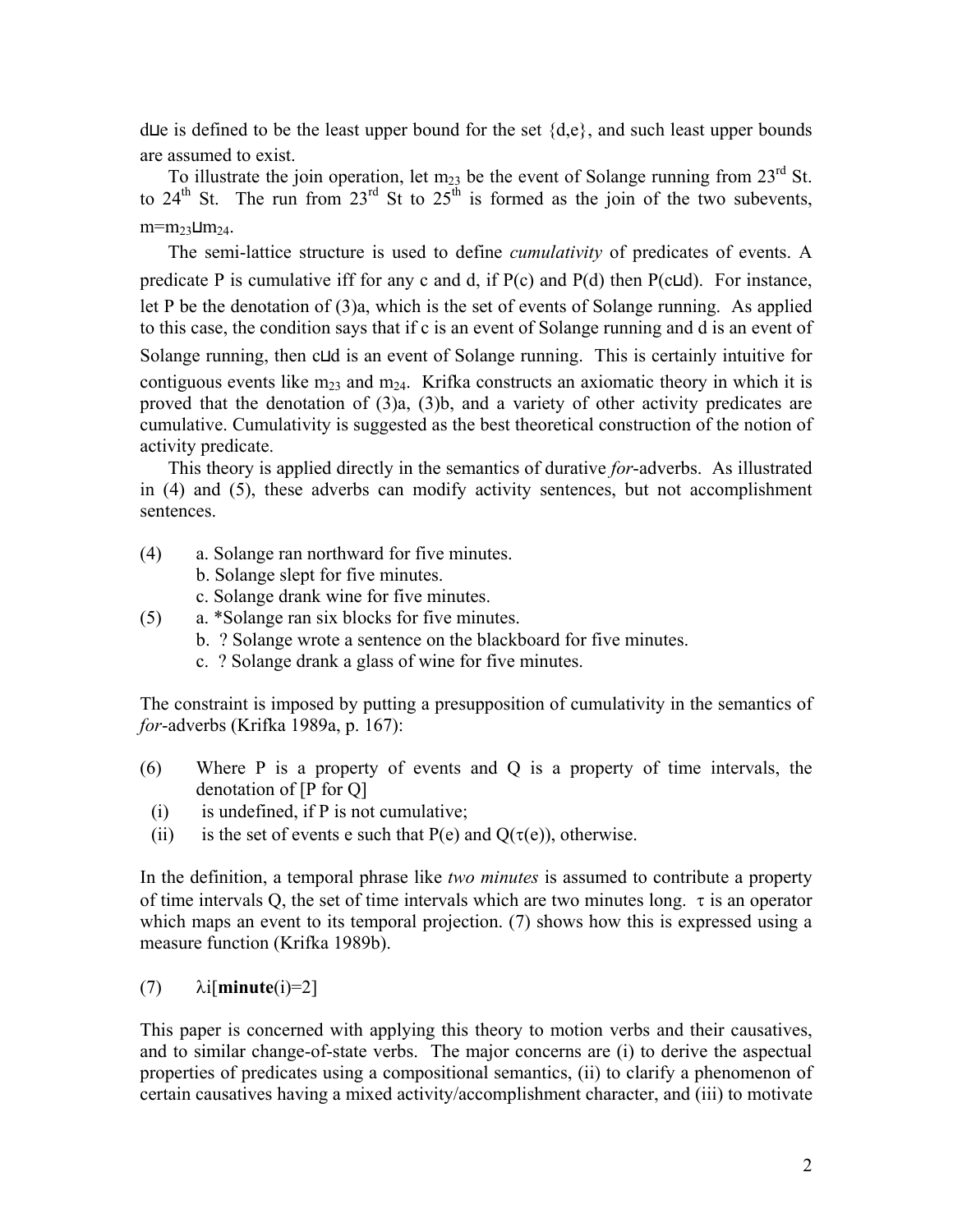d⊔e is defined to be the least upper bound for the set {d,e}, and such least upper bounds are assumed to exist.

To illustrate the join operation, let  $m_{23}$  be the event of Solange running from  $23^{\text{rd}}$  St. to 24<sup>th</sup> St. The run from 23<sup>rd</sup> St to 25<sup>th</sup> is formed as the join of the two subevents,  $m=$  $m<sub>23</sub>$ ⊔ $m<sub>24</sub>$ .

The semi-lattice structure is used to define *cumulativity* of predicates of events. A predicate P is cumulative iff for any c and d, if  $P(c)$  and  $P(d)$  then  $P(c \sqcup d)$ . For instance, let P be the denotation of (3)a, which is the set of events of Solange running. As applied to this case, the condition says that if c is an event of Solange running and d is an event of Solange running, then c⊔d is an event of Solange running. This is certainly intuitive for contiguous events like  $m_{23}$  and  $m_{24}$ . Krifka constructs an axiomatic theory in which it is proved that the denotation of (3)a, (3)b, and a variety of other activity predicates are cumulative. Cumulativity is suggested as the best theoretical construction of the notion of activity predicate.

This theory is applied directly in the semantics of durative *for*-adverbs. As illustrated in (4) and (5), these adverbs can modify activity sentences, but not accomplishment sentences.

- (4) a. Solange ran northward for five minutes.
	- b. Solange slept for five minutes.
	- c. Solange drank wine for five minutes.
- (5) a. \*Solange ran six blocks for five minutes.
	- b. ? Solange wrote a sentence on the blackboard for five minutes.
	- c. ? Solange drank a glass of wine for five minutes.

The constraint is imposed by putting a presupposition of cumulativity in the semantics of *for*-adverbs (Krifka 1989a, p. 167):

- (6) Where P is a property of events and Q is a property of time intervals, the denotation of [P for Q]
- $(i)$  is undefined, if P is not cumulative;
- (ii) is the set of events e such that P(e) and  $Q(\tau(e))$ , otherwise.

In the definition, a temporal phrase like *two minutes* is assumed to contribute a property of time intervals Q, the set of time intervals which are two minutes long.  $\tau$  is an operator which maps an event to its temporal projection. (7) shows how this is expressed using a measure function (Krifka 1989b).

# (7)  $\lambda i$ [**minute**(i)=2]

This paper is concerned with applying this theory to motion verbs and their causatives, and to similar change-of-state verbs. The major concerns are (i) to derive the aspectual properties of predicates using a compositional semantics, (ii) to clarify a phenomenon of certain causatives having a mixed activity/accomplishment character, and (iii) to motivate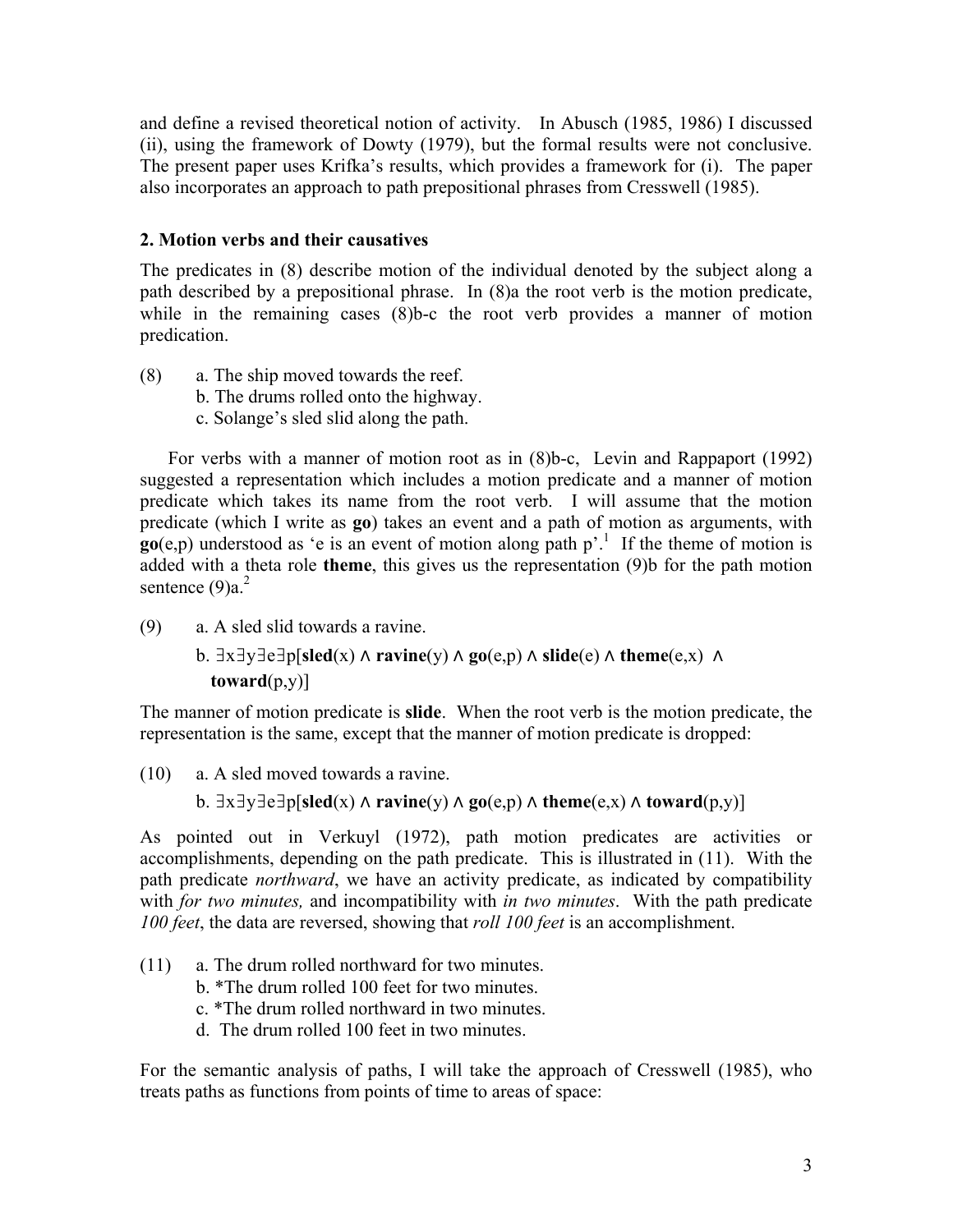and define a revised theoretical notion of activity. In Abusch (1985, 1986) I discussed (ii), using the framework of Dowty (1979), but the formal results were not conclusive. The present paper uses Krifka's results, which provides a framework for (i). The paper also incorporates an approach to path prepositional phrases from Cresswell (1985).

# **2. Motion verbs and their causatives**

The predicates in (8) describe motion of the individual denoted by the subject along a path described by a prepositional phrase. In (8)a the root verb is the motion predicate, while in the remaining cases (8)b-c the root verb provides a manner of motion predication.

- (8) a. The ship moved towards the reef.
	- b. The drums rolled onto the highway.
	- c. Solange's sled slid along the path.

For verbs with a manner of motion root as in (8)b-c, Levin and Rappaport (1992) suggested a representation which includes a motion predicate and a manner of motion predicate which takes its name from the root verb. I will assume that the motion predicate (which I write as **go**) takes an event and a path of motion as arguments, with  $\mathbf{g}_0(\mathbf{e}, \mathbf{p})$  understood as 'e is an event of motion along path  $\mathbf{p}'$ .<sup>1</sup> If the theme of motion is added with a theta role **theme**, this gives us the representation (9)b for the path motion sentence  $(9)a<sup>2</sup>$ 

(9) a. A sled slid towards a ravine.

b. ∃x∃y∃e∃p[**sled**(x) ⋀ **ravine**(y) ⋀ **go**(e,p) ⋀ **slide**(e) ⋀ **theme**(e,x) ⋀ **toward**(p,y)]

The manner of motion predicate is **slide**. When the root verb is the motion predicate, the representation is the same, except that the manner of motion predicate is dropped:

(10) a. A sled moved towards a ravine.

b.  $\exists x \exists y \exists e \exists p[\text{sled}(x) \land \text{ravine}(y) \land \text{go}(e, p) \land \text{theme}(e, x) \land \text{toward}(p, y)]$ 

As pointed out in Verkuyl (1972), path motion predicates are activities or accomplishments, depending on the path predicate. This is illustrated in (11). With the path predicate *northward*, we have an activity predicate, as indicated by compatibility with *for two minutes,* and incompatibility with *in two minutes*. With the path predicate *100 feet*, the data are reversed, showing that *roll 100 feet* is an accomplishment.

- (11) a. The drum rolled northward for two minutes.
	- b. \*The drum rolled 100 feet for two minutes.
	- c. \*The drum rolled northward in two minutes.
	- d. The drum rolled 100 feet in two minutes.

For the semantic analysis of paths, I will take the approach of Cresswell (1985), who treats paths as functions from points of time to areas of space: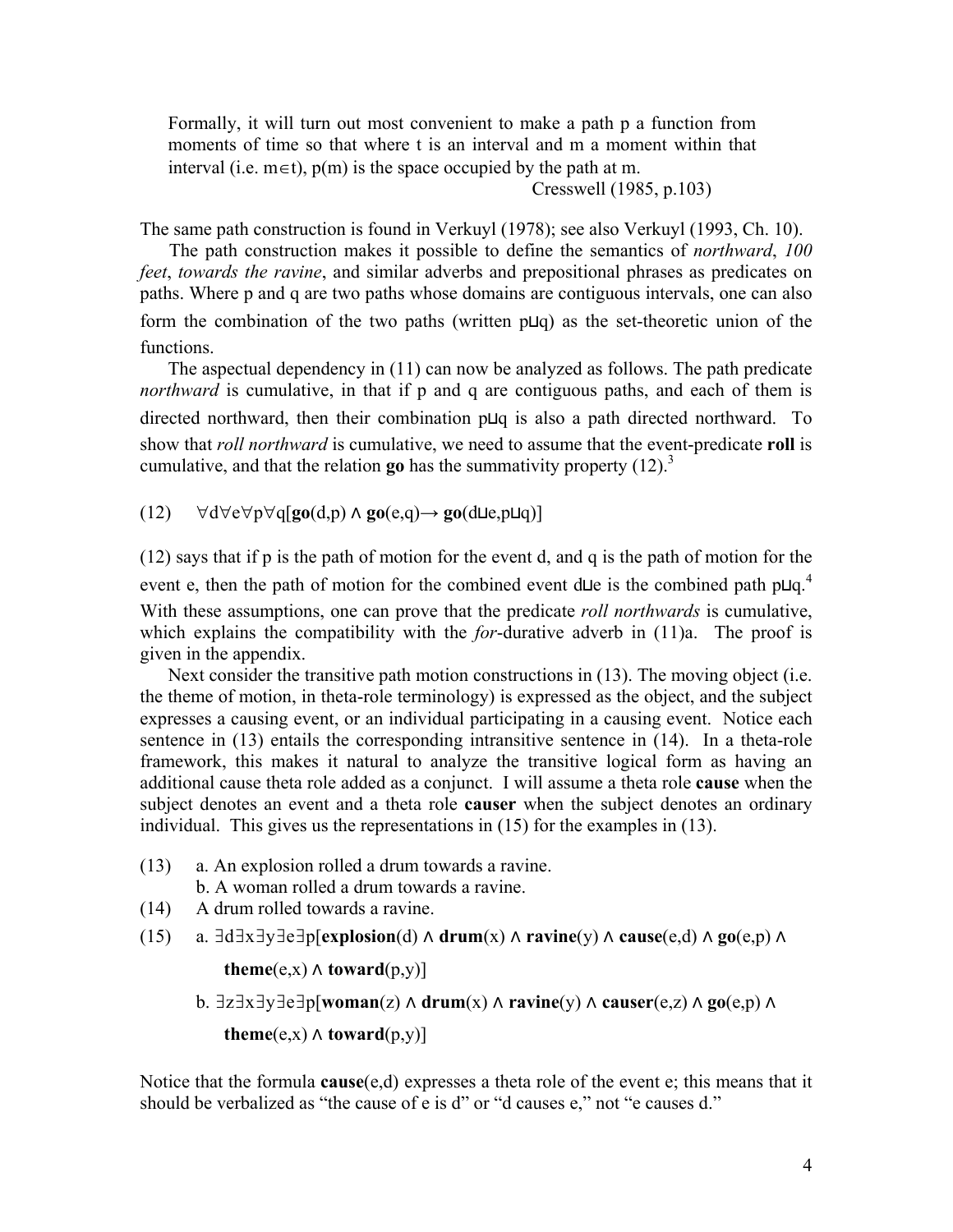Formally, it will turn out most convenient to make a path p a function from moments of time so that where t is an interval and m a moment within that interval (i.e.  $m \in t$ ),  $p(m)$  is the space occupied by the path at m.

Cresswell (1985, p.103)

The same path construction is found in Verkuyl (1978); see also Verkuyl (1993, Ch. 10).

The path construction makes it possible to define the semantics of *northward*, *100 feet*, *towards the ravine*, and similar adverbs and prepositional phrases as predicates on paths. Where p and q are two paths whose domains are contiguous intervals, one can also form the combination of the two paths (written p⊔q) as the set-theoretic union of the functions.

The aspectual dependency in (11) can now be analyzed as follows. The path predicate *northward* is cumulative, in that if p and q are contiguous paths, and each of them is directed northward, then their combination p⊔q is also a path directed northward. To show that *roll northward* is cumulative, we need to assume that the event-predicate **roll** is cumulative, and that the relation **go** has the summativity property  $(12)^3$ 

(12) ∀d∀e∀p∀q[**go**(d,p) ⋀ **go**(e,q)→ **go**(d⊔e,p⊔q)]

 (12) says that if p is the path of motion for the event d, and q is the path of motion for the event e, then the path of motion for the combined event d⊔e is the combined path p⊔q.<sup>4</sup> With these assumptions, one can prove that the predicate *roll northwards* is cumulative, which explains the compatibility with the *for*-durative adverb in (11)a. The proof is given in the appendix.

Next consider the transitive path motion constructions in (13). The moving object (i.e. the theme of motion, in theta-role terminology) is expressed as the object, and the subject expresses a causing event, or an individual participating in a causing event. Notice each sentence in (13) entails the corresponding intransitive sentence in (14). In a theta-role framework, this makes it natural to analyze the transitive logical form as having an additional cause theta role added as a conjunct. I will assume a theta role **cause** when the subject denotes an event and a theta role **causer** when the subject denotes an ordinary individual. This gives us the representations in (15) for the examples in (13).

(13) a. An explosion rolled a drum towards a ravine.

b. A woman rolled a drum towards a ravine.

- (14) A drum rolled towards a ravine.
- (15) a. ∃d∃x∃y∃e∃p[**explosion**(d) ⋀ **drum**(x) ⋀ **ravine**(y) ⋀ **cause**(e,d) ⋀ **go**(e,p) ⋀

**theme**(e,x)  $\land$  **toward**(p,y)]

b. ∃z∃x∃y∃e∃p[**woman**(z) ⋀ **drum**(x) ⋀ **ravine**(y) ⋀ **causer**(e,z) ⋀ **go**(e,p) ⋀

**theme**(e,x)  $\land$  **toward**(p,y)]

Notice that the formula **cause**(e,d) expresses a theta role of the event e; this means that it should be verbalized as "the cause of e is d" or "d causes e," not "e causes d."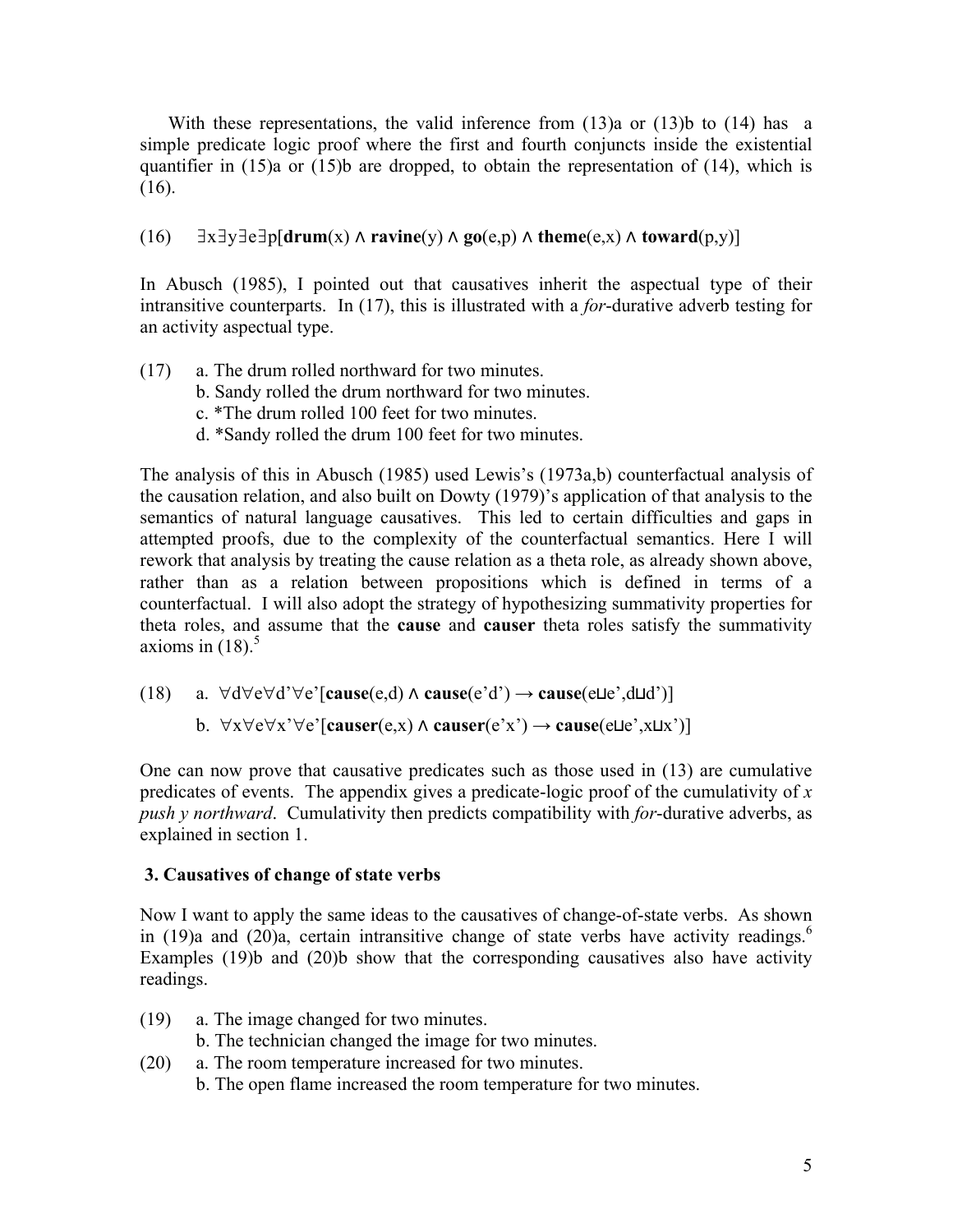With these representations, the valid inference from  $(13)a$  or  $(13)b$  to  $(14)$  has a simple predicate logic proof where the first and fourth conjuncts inside the existential quantifier in  $(15)a$  or  $(15)b$  are dropped, to obtain the representation of  $(14)$ , which is (16).

(16) ∃x∃y∃e∃p[**drum**(x) ⋀ **ravine**(y) ⋀ **go**(e,p) ⋀ **theme**(e,x) ⋀ **toward**(p,y)]

In Abusch (1985), I pointed out that causatives inherit the aspectual type of their intransitive counterparts. In (17), this is illustrated with a *for*-durative adverb testing for an activity aspectual type.

- (17) a. The drum rolled northward for two minutes.
	- b. Sandy rolled the drum northward for two minutes.
	- c. \*The drum rolled 100 feet for two minutes.
	- d. \*Sandy rolled the drum 100 feet for two minutes.

The analysis of this in Abusch (1985) used Lewis's (1973a,b) counterfactual analysis of the causation relation, and also built on Dowty (1979)'s application of that analysis to the semantics of natural language causatives. This led to certain difficulties and gaps in attempted proofs, due to the complexity of the counterfactual semantics. Here I will rework that analysis by treating the cause relation as a theta role, as already shown above, rather than as a relation between propositions which is defined in terms of a counterfactual. I will also adopt the strategy of hypothesizing summativity properties for theta roles, and assume that the **cause** and **causer** theta roles satisfy the summativity axioms in  $(18)^5$ 

(18) a. ∀d∀e∀d'∀e'[**cause**(e,d) ⋀ **cause**(e'd') **→ cause**(e⊔e',d⊔d')]

b. ∀x∀e∀x'∀e'[**causer**(e,x) ⋀ **causer**(e'x') **→ cause**(e⊔e',x⊔x')]

One can now prove that causative predicates such as those used in (13) are cumulative predicates of events. The appendix gives a predicate-logic proof of the cumulativity of *x push y northward*. Cumulativity then predicts compatibility with *for*-durative adverbs, as explained in section 1.

# **3. Causatives of change of state verbs**

Now I want to apply the same ideas to the causatives of change-of-state verbs. As shown in (19)a and (20)a, certain intransitive change of state verbs have activity readings.<sup>6</sup> Examples (19)b and (20)b show that the corresponding causatives also have activity readings.

- (19) a. The image changed for two minutes.
	- b. The technician changed the image for two minutes.
- (20) a. The room temperature increased for two minutes.
	- b. The open flame increased the room temperature for two minutes.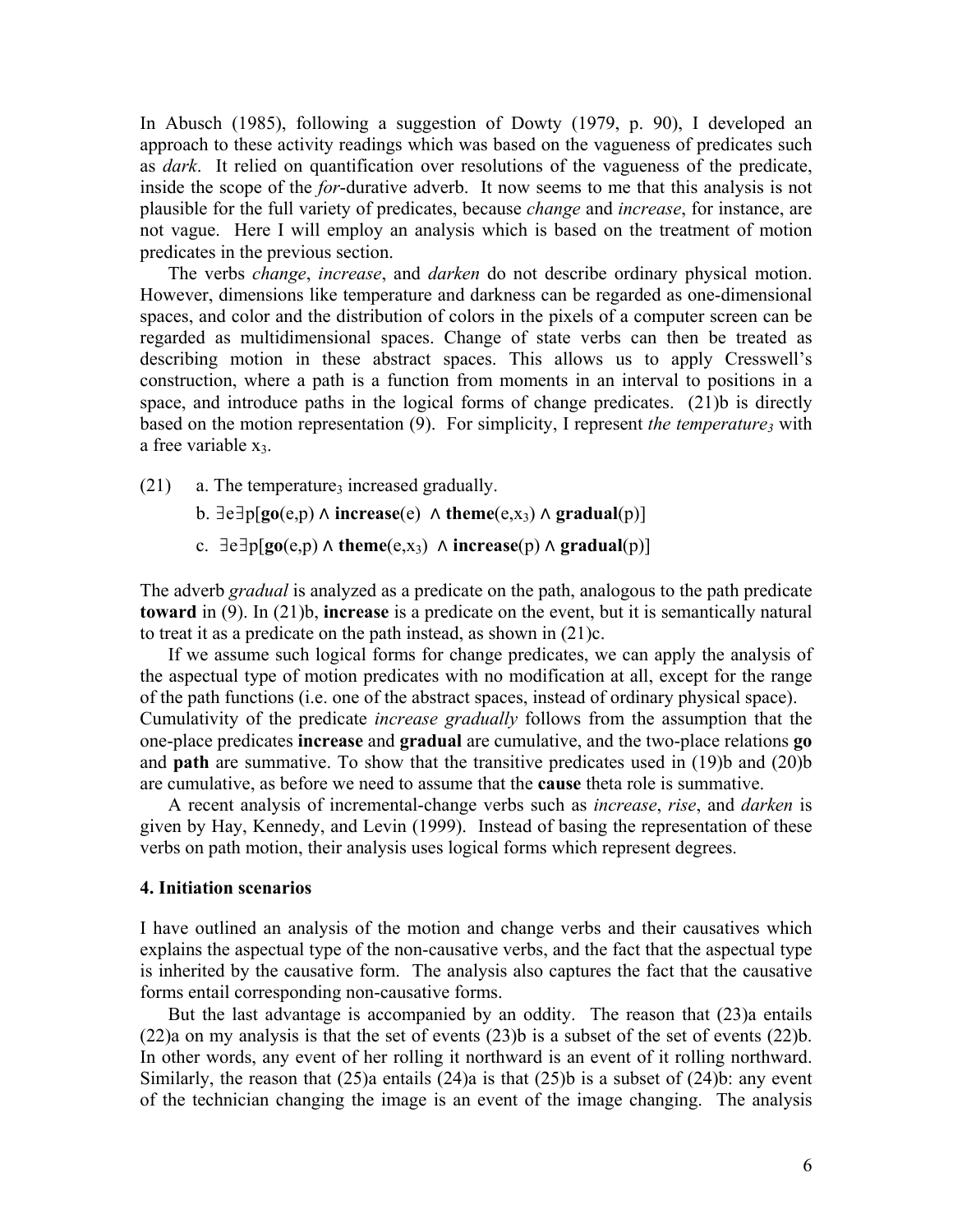In Abusch (1985), following a suggestion of Dowty (1979, p. 90), I developed an approach to these activity readings which was based on the vagueness of predicates such as *dark*. It relied on quantification over resolutions of the vagueness of the predicate, inside the scope of the *for*-durative adverb. It now seems to me that this analysis is not plausible for the full variety of predicates, because *change* and *increase*, for instance, are not vague. Here I will employ an analysis which is based on the treatment of motion predicates in the previous section.

The verbs *change*, *increase*, and *darken* do not describe ordinary physical motion. However, dimensions like temperature and darkness can be regarded as one-dimensional spaces, and color and the distribution of colors in the pixels of a computer screen can be regarded as multidimensional spaces. Change of state verbs can then be treated as describing motion in these abstract spaces. This allows us to apply Cresswell's construction, where a path is a function from moments in an interval to positions in a space, and introduce paths in the logical forms of change predicates. (21)b is directly based on the motion representation (9). For simplicity, I represent *the temperature*<sub>3</sub> with a free variable  $x_3$ .

- $(21)$  a. The temperature<sub>3</sub> increased gradually.
	- b.  $\exists e \exists p$ [**go**(e,p)  $\land$  **increase**(e)  $\land$  **theme**(e,x<sub>3</sub>)  $\land$  **gradual**(p)]
	- c.  $\exists e \exists p[go(e,p) \land theme(e,x_3) \land increase(p) \land gradual(p)]$

The adverb *gradual* is analyzed as a predicate on the path, analogous to the path predicate **toward** in (9). In (21)b, **increase** is a predicate on the event, but it is semantically natural to treat it as a predicate on the path instead, as shown in (21)c.

If we assume such logical forms for change predicates, we can apply the analysis of the aspectual type of motion predicates with no modification at all, except for the range of the path functions (i.e. one of the abstract spaces, instead of ordinary physical space). Cumulativity of the predicate *increase gradually* follows from the assumption that the one-place predicates **increase** and **gradual** are cumulative, and the two-place relations **go** and **path** are summative. To show that the transitive predicates used in (19)b and (20)b are cumulative, as before we need to assume that the **cause** theta role is summative.

A recent analysis of incremental-change verbs such as *increase*, *rise*, and *darken* is given by Hay, Kennedy, and Levin (1999). Instead of basing the representation of these verbs on path motion, their analysis uses logical forms which represent degrees.

#### **4. Initiation scenarios**

I have outlined an analysis of the motion and change verbs and their causatives which explains the aspectual type of the non-causative verbs, and the fact that the aspectual type is inherited by the causative form. The analysis also captures the fact that the causative forms entail corresponding non-causative forms.

But the last advantage is accompanied by an oddity. The reason that (23)a entails (22)a on my analysis is that the set of events (23)b is a subset of the set of events (22)b. In other words, any event of her rolling it northward is an event of it rolling northward. Similarly, the reason that  $(25)a$  entails  $(24)a$  is that  $(25)b$  is a subset of  $(24)b$ : any event of the technician changing the image is an event of the image changing. The analysis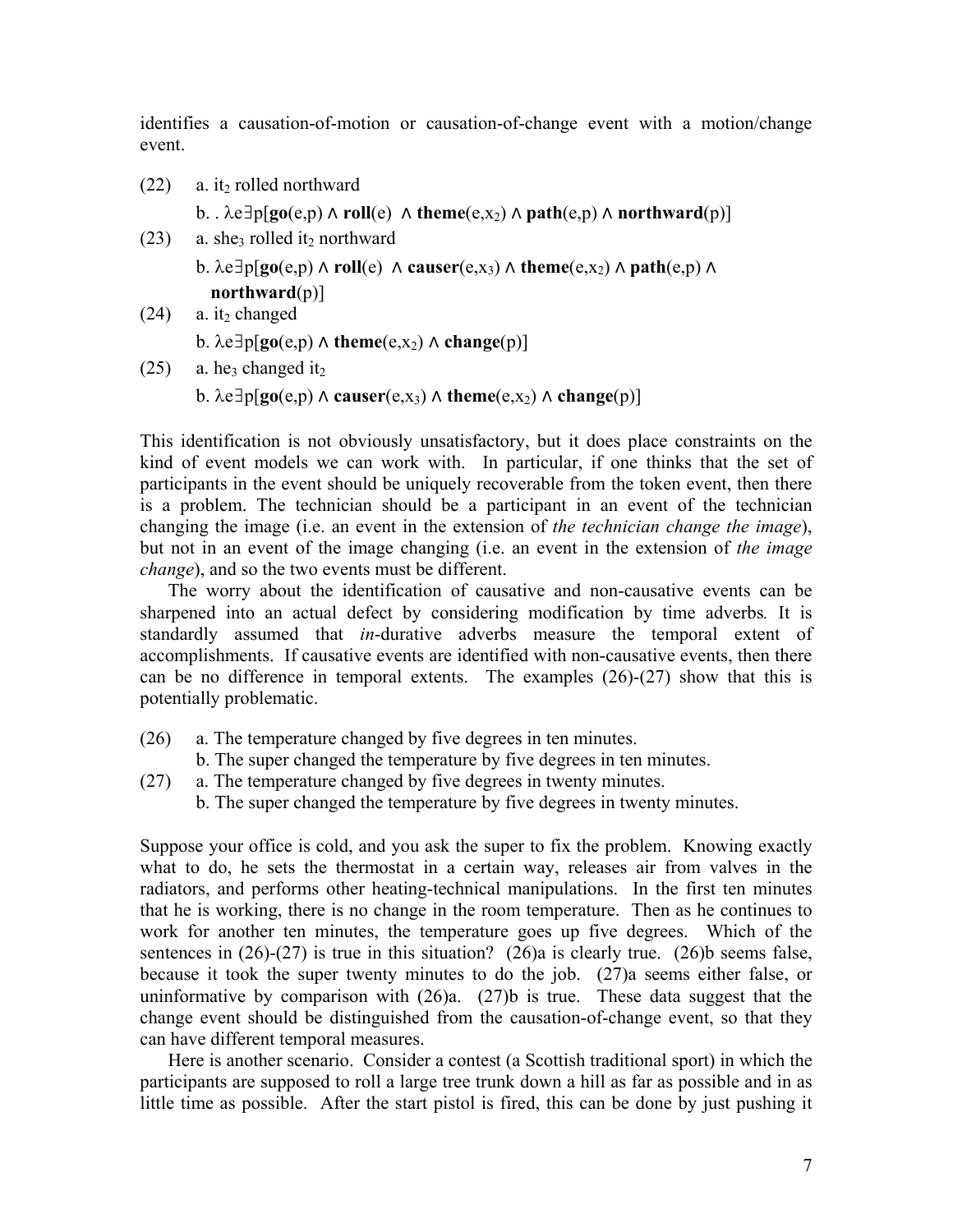identifies a causation-of-motion or causation-of-change event with a motion/change event.

 $(22)$  a. it<sub>2</sub> rolled northward

b. .  $\lambda e \exists p[go(e,p) \land roll(e) \land theme(e,x_2) \land path(e,p) \land northward(p)]$ 

- $(23)$  a. she<sub>3</sub> rolled it<sub>2</sub> northward
	- **b.**  $\lambda e \exists p$ [**go**(e,p)  $\Lambda$  **roll**(e)  $\Lambda$  **causer**(e,x<sub>3</sub>)  $\Lambda$  **theme**(e,x<sub>2</sub>)  $\Lambda$  **path**(e,p)  $\Lambda$ **northward**(p)]

```
(24) a. it<sub>2</sub> changed
```
b.  $\lambda e \exists p[go(e,p) \land$  **theme** $(e,x_2) \land$  **change** $(p)$ ]

 $(25)$  a. he<sub>3</sub> changed it<sub>2</sub>

b.  $\lambda e \exists p[go(e,p) \land causer(e,x_3) \land theme(e,x_2) \land change(p)]$ 

This identification is not obviously unsatisfactory, but it does place constraints on the kind of event models we can work with. In particular, if one thinks that the set of participants in the event should be uniquely recoverable from the token event, then there is a problem. The technician should be a participant in an event of the technician changing the image (i.e. an event in the extension of *the technician change the image*), but not in an event of the image changing (i.e. an event in the extension of *the image change*), and so the two events must be different.

The worry about the identification of causative and non-causative events can be sharpened into an actual defect by considering modification by time adverbs*.* It is standardly assumed that *in*-durative adverbs measure the temporal extent of accomplishments. If causative events are identified with non-causative events, then there can be no difference in temporal extents. The examples  $(26)-(27)$  show that this is potentially problematic.

- (26) a. The temperature changed by five degrees in ten minutes.
	- b. The super changed the temperature by five degrees in ten minutes.
- (27) a. The temperature changed by five degrees in twenty minutes.
	- b. The super changed the temperature by five degrees in twenty minutes.

Suppose your office is cold, and you ask the super to fix the problem. Knowing exactly what to do, he sets the thermostat in a certain way, releases air from valves in the radiators, and performs other heating-technical manipulations. In the first ten minutes that he is working, there is no change in the room temperature. Then as he continues to work for another ten minutes, the temperature goes up five degrees. Which of the sentences in  $(26)-(27)$  is true in this situation?  $(26)a$  is clearly true.  $(26)b$  seems false, because it took the super twenty minutes to do the job. (27)a seems either false, or uninformative by comparison with  $(26)a$ .  $(27)b$  is true. These data suggest that the change event should be distinguished from the causation-of-change event, so that they can have different temporal measures.

Here is another scenario. Consider a contest (a Scottish traditional sport) in which the participants are supposed to roll a large tree trunk down a hill as far as possible and in as little time as possible. After the start pistol is fired, this can be done by just pushing it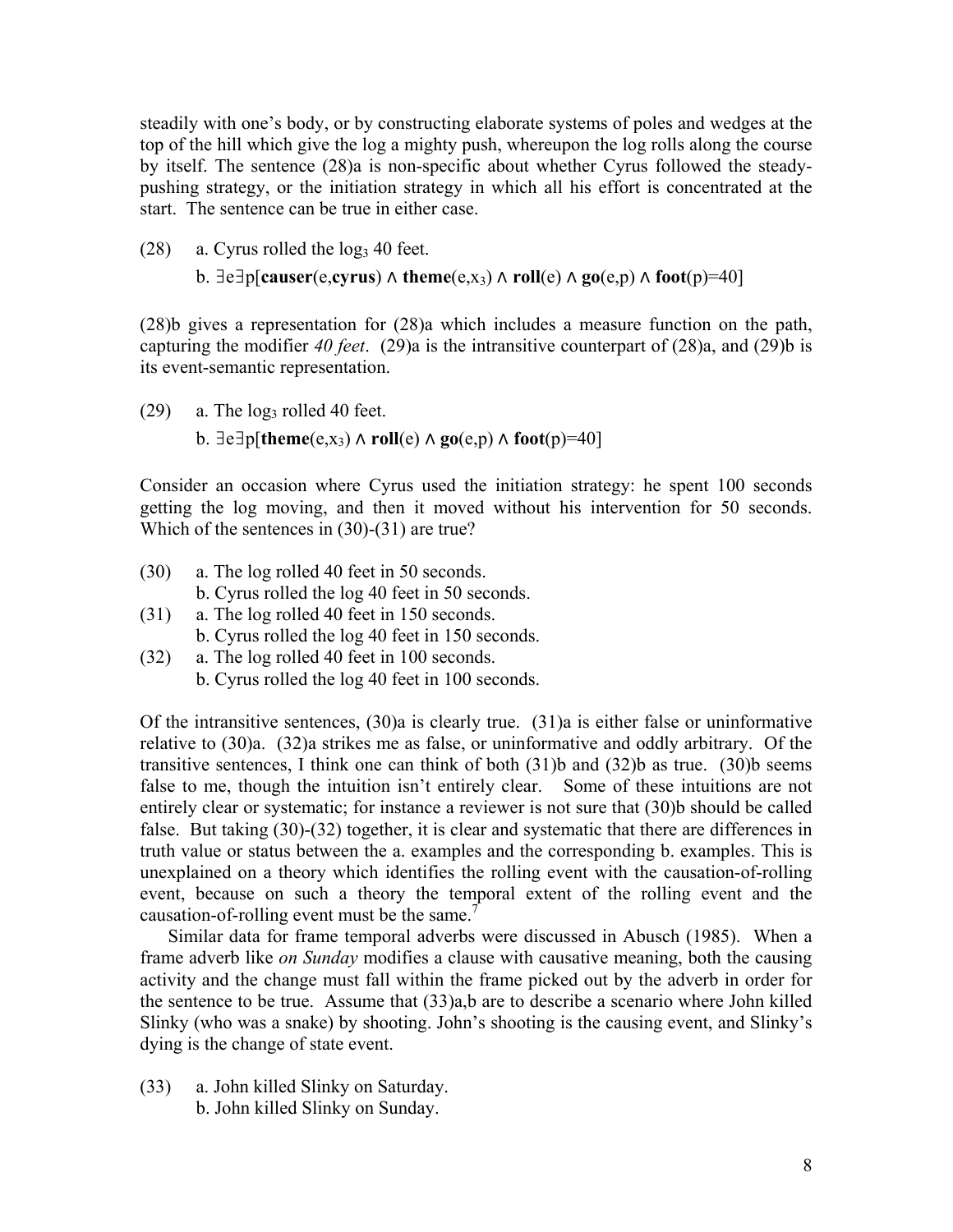steadily with one's body, or by constructing elaborate systems of poles and wedges at the top of the hill which give the log a mighty push, whereupon the log rolls along the course by itself. The sentence (28)a is non-specific about whether Cyrus followed the steadypushing strategy, or the initiation strategy in which all his effort is concentrated at the start. The sentence can be true in either case.

- $(28)$  a. Cyrus rolled the log<sub>3</sub> 40 feet.
	- b.  $\exists e \exists p$ [causer(e,cyrus)  $\land$  theme $(e, x_3) \land$  roll $(e) \land go(e, p) \land foot(p)=40$ ]

 (28)b gives a representation for (28)a which includes a measure function on the path, capturing the modifier *40 feet*. (29)a is the intransitive counterpart of (28)a, and (29)b is its event-semantic representation.

 $(29)$  a. The log<sub>3</sub> rolled 40 feet. b.  $\exists e \exists p$ [theme $(e, x_3) \land$  roll $(e) \land go(e, p) \land foot(p) = 40$ ]

Consider an occasion where Cyrus used the initiation strategy: he spent 100 seconds getting the log moving, and then it moved without his intervention for 50 seconds. Which of the sentences in  $(30)-(31)$  are true?

- (30) a. The log rolled 40 feet in 50 seconds. b. Cyrus rolled the log 40 feet in 50 seconds.
- (31) a. The log rolled 40 feet in 150 seconds. b. Cyrus rolled the log 40 feet in 150 seconds.
- (32) a. The log rolled 40 feet in 100 seconds.
	- b. Cyrus rolled the log 40 feet in 100 seconds.

Of the intransitive sentences, (30)a is clearly true. (31)a is either false or uninformative relative to (30)a. (32)a strikes me as false, or uninformative and oddly arbitrary. Of the transitive sentences, I think one can think of both (31)b and (32)b as true. (30)b seems false to me, though the intuition isn't entirely clear. Some of these intuitions are not entirely clear or systematic; for instance a reviewer is not sure that (30)b should be called false. But taking  $(30)$ - $(32)$  together, it is clear and systematic that there are differences in truth value or status between the a. examples and the corresponding b. examples. This is unexplained on a theory which identifies the rolling event with the causation-of-rolling event, because on such a theory the temporal extent of the rolling event and the causation-of-rolling event must be the same.<sup>7</sup>

Similar data for frame temporal adverbs were discussed in Abusch (1985). When a frame adverb like *on Sunday* modifies a clause with causative meaning, both the causing activity and the change must fall within the frame picked out by the adverb in order for the sentence to be true. Assume that (33)a,b are to describe a scenario where John killed Slinky (who was a snake) by shooting. John's shooting is the causing event, and Slinky's dying is the change of state event.

(33) a. John killed Slinky on Saturday. b. John killed Slinky on Sunday.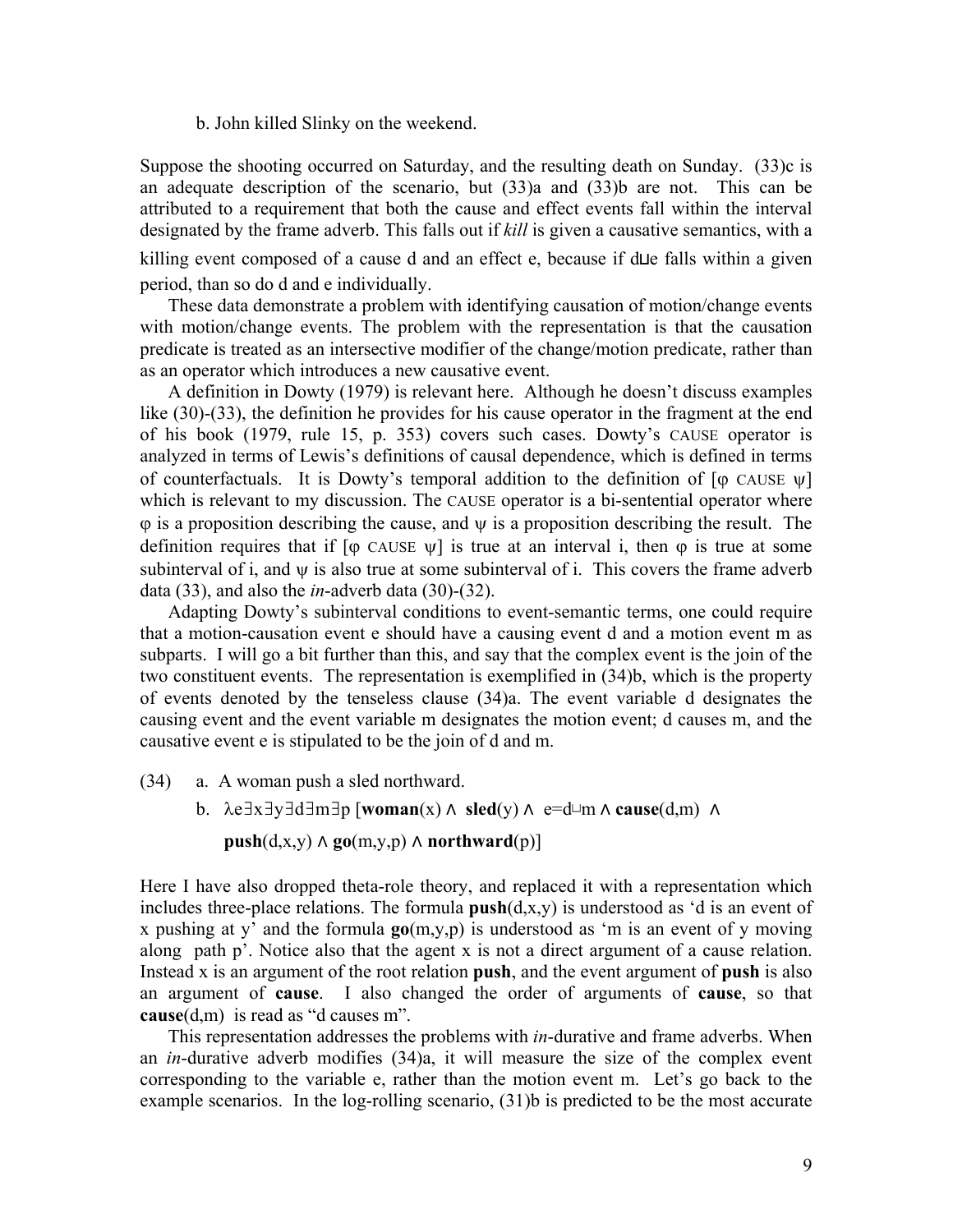#### b. John killed Slinky on the weekend.

Suppose the shooting occurred on Saturday, and the resulting death on Sunday. (33)c is an adequate description of the scenario, but (33)a and (33)b are not. This can be attributed to a requirement that both the cause and effect events fall within the interval designated by the frame adverb. This falls out if *kill* is given a causative semantics, with a killing event composed of a cause d and an effect e, because if d⊔e falls within a given period, than so do d and e individually.

These data demonstrate a problem with identifying causation of motion/change events with motion/change events. The problem with the representation is that the causation predicate is treated as an intersective modifier of the change/motion predicate, rather than as an operator which introduces a new causative event.

A definition in Dowty (1979) is relevant here. Although he doesn't discuss examples like (30)-(33), the definition he provides for his cause operator in the fragment at the end of his book (1979, rule 15, p. 353) covers such cases. Dowty's CAUSE operator is analyzed in terms of Lewis's definitions of causal dependence, which is defined in terms of counterfactuals. It is Dowty's temporal addition to the definition of  $[\varphi]$  CAUSE  $\psi$ which is relevant to my discussion. The CAUSE operator is a bi-sentential operator where  $\varphi$  is a proposition describing the cause, and  $\psi$  is a proposition describing the result. The definition requires that if  $\lceil \phi \rceil$  CAUSE  $\psi$  is true at an interval i, then  $\phi$  is true at some subinterval of i, and  $\psi$  is also true at some subinterval of i. This covers the frame adverb data  $(33)$ , and also the *in*-adverb data  $(30)-(32)$ .

Adapting Dowty's subinterval conditions to event-semantic terms, one could require that a motion-causation event e should have a causing event d and a motion event m as subparts. I will go a bit further than this, and say that the complex event is the join of the two constituent events. The representation is exemplified in (34)b, which is the property of events denoted by the tenseless clause (34)a. The event variable d designates the causing event and the event variable m designates the motion event; d causes m, and the causative event e is stipulated to be the join of d and m.

(34) a. A woman push a sled northward.

b. λe∃x∃y∃d∃m∃p [**woman**(x) ⋀ **sled**(y) ⋀ e=d⊔m ⋀ **cause**(d,m) ⋀

 $\text{push}(d, x, y) \land \text{go}(m, y, p) \land \text{northward}(p)$ 

Here I have also dropped theta-role theory, and replaced it with a representation which includes three-place relations. The formula **push**(d,x,y) is understood as 'd is an event of x pushing at y' and the formula **go**(m,y,p) is understood as 'm is an event of y moving along path p'. Notice also that the agent x is not a direct argument of a cause relation. Instead x is an argument of the root relation **push**, and the event argument of **push** is also an argument of **cause**. I also changed the order of arguments of **cause**, so that **cause**(d,m) is read as "d causes m".

This representation addresses the problems with *in*-durative and frame adverbs. When an *in*-durative adverb modifies (34)a, it will measure the size of the complex event corresponding to the variable e, rather than the motion event m. Let's go back to the example scenarios. In the log-rolling scenario, (31)b is predicted to be the most accurate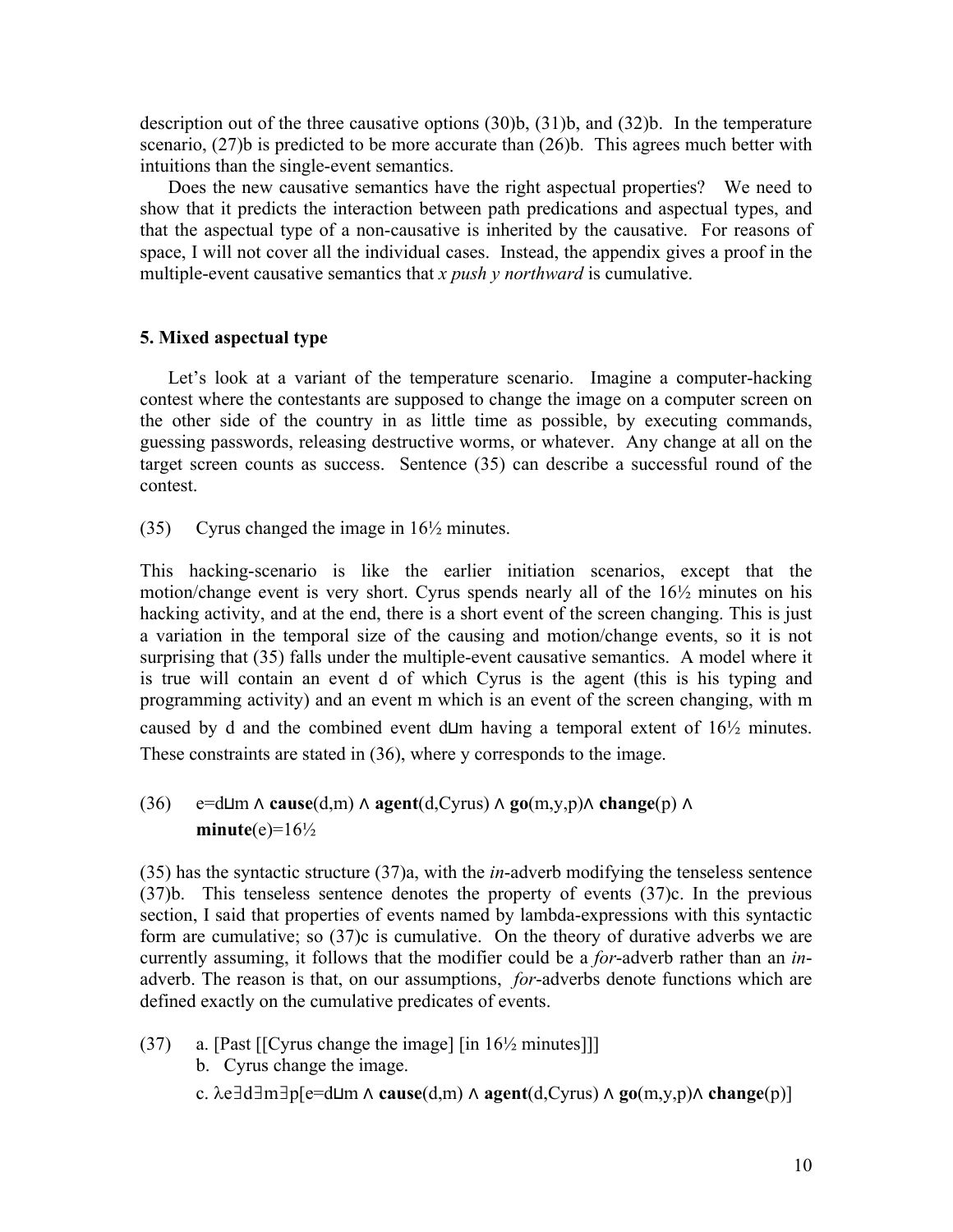description out of the three causative options (30)b, (31)b, and (32)b. In the temperature scenario, (27)b is predicted to be more accurate than (26)b. This agrees much better with intuitions than the single-event semantics.

Does the new causative semantics have the right aspectual properties? We need to show that it predicts the interaction between path predications and aspectual types, and that the aspectual type of a non-causative is inherited by the causative. For reasons of space, I will not cover all the individual cases. Instead, the appendix gives a proof in the multiple-event causative semantics that *x push y northward* is cumulative.

## **5. Mixed aspectual type**

Let's look at a variant of the temperature scenario. Imagine a computer-hacking contest where the contestants are supposed to change the image on a computer screen on the other side of the country in as little time as possible, by executing commands, guessing passwords, releasing destructive worms, or whatever. Any change at all on the target screen counts as success. Sentence (35) can describe a successful round of the contest.

(35) Cyrus changed the image in 16½ minutes.

This hacking-scenario is like the earlier initiation scenarios, except that the motion/change event is very short. Cyrus spends nearly all of the 16½ minutes on his hacking activity, and at the end, there is a short event of the screen changing. This is just a variation in the temporal size of the causing and motion/change events, so it is not surprising that (35) falls under the multiple-event causative semantics. A model where it is true will contain an event d of which Cyrus is the agent (this is his typing and programming activity) and an event m which is an event of the screen changing, with m caused by d and the combined event d⊔m having a temporal extent of 16½ minutes. These constraints are stated in (36), where y corresponds to the image.

# (36) e=d⊔m ⋀ **cause**(d,m) ⋀ **agent**(d,Cyrus) ⋀ **go**(m,y,p)⋀ **change**(p) ⋀  $minute(e)=16\frac{1}{2}$

 (35) has the syntactic structure (37)a, with the *in*-adverb modifying the tenseless sentence (37)b. This tenseless sentence denotes the property of events (37)c. In the previous section, I said that properties of events named by lambda-expressions with this syntactic form are cumulative; so (37)c is cumulative. On the theory of durative adverbs we are currently assuming, it follows that the modifier could be a *for*-adverb rather than an *in*adverb. The reason is that, on our assumptions, *for*-adverbs denote functions which are defined exactly on the cumulative predicates of events.

- (37) a. [Past [[Cyrus change the image] [in 16½ minutes]]]
	- b. Cyrus change the image.
	- c. λe∃d∃m∃p[e=d⊔m ⋀ **cause**(d,m) ⋀ **agent**(d,Cyrus) ⋀ **go**(m,y,p)⋀ **change**(p)]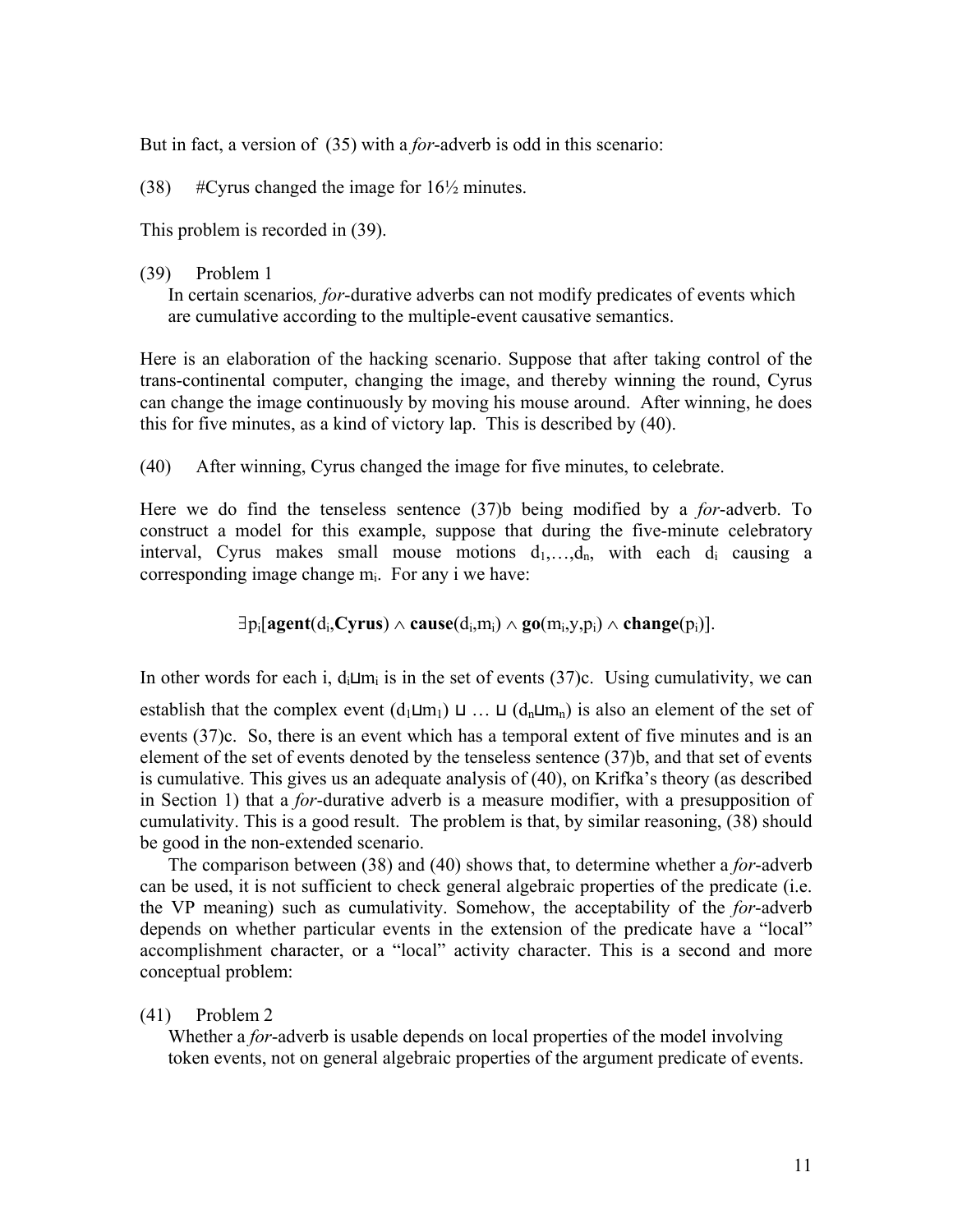But in fact, a version of (35) with a *for*-adverb is odd in this scenario:

(38)  $\#Cyrus changed the image for 16\frac{1}{2} minutes.$ 

This problem is recorded in (39).

#### (39) Problem 1

In certain scenarios*, for*-durative adverbs can not modify predicates of events which are cumulative according to the multiple-event causative semantics.

Here is an elaboration of the hacking scenario. Suppose that after taking control of the trans-continental computer, changing the image, and thereby winning the round, Cyrus can change the image continuously by moving his mouse around. After winning, he does this for five minutes, as a kind of victory lap. This is described by (40).

(40) After winning, Cyrus changed the image for five minutes, to celebrate.

Here we do find the tenseless sentence (37)b being modified by a *for*-adverb. To construct a model for this example, suppose that during the five-minute celebratory interval, Cyrus makes small mouse motions  $d_1, \ldots, d_n$ , with each  $d_i$  causing a corresponding image change mi. For any i we have:

∃pi[**agent**(di,**Cyrus**) ∧ **cause**(di,mi) ∧ **go**(mi,y,pi) ∧ **change**(pi)].

In other words for each i,  $d_i \sqcup m_i$  is in the set of events (37)c. Using cumulativity, we can

establish that the complex event  $(d_1 \sqcup m_1) \sqcup ... \sqcup (d_n \sqcup m_n)$  is also an element of the set of events (37)c. So, there is an event which has a temporal extent of five minutes and is an element of the set of events denoted by the tenseless sentence (37)b, and that set of events is cumulative. This gives us an adequate analysis of (40), on Krifka's theory (as described in Section 1) that a *for*-durative adverb is a measure modifier, with a presupposition of cumulativity. This is a good result. The problem is that, by similar reasoning, (38) should be good in the non-extended scenario.

The comparison between (38) and (40) shows that, to determine whether a *for*-adverb can be used, it is not sufficient to check general algebraic properties of the predicate (i.e. the VP meaning) such as cumulativity. Somehow, the acceptability of the *for*-adverb depends on whether particular events in the extension of the predicate have a "local" accomplishment character, or a "local" activity character. This is a second and more conceptual problem:

(41) Problem 2

Whether a *for*-adverb is usable depends on local properties of the model involving token events, not on general algebraic properties of the argument predicate of events.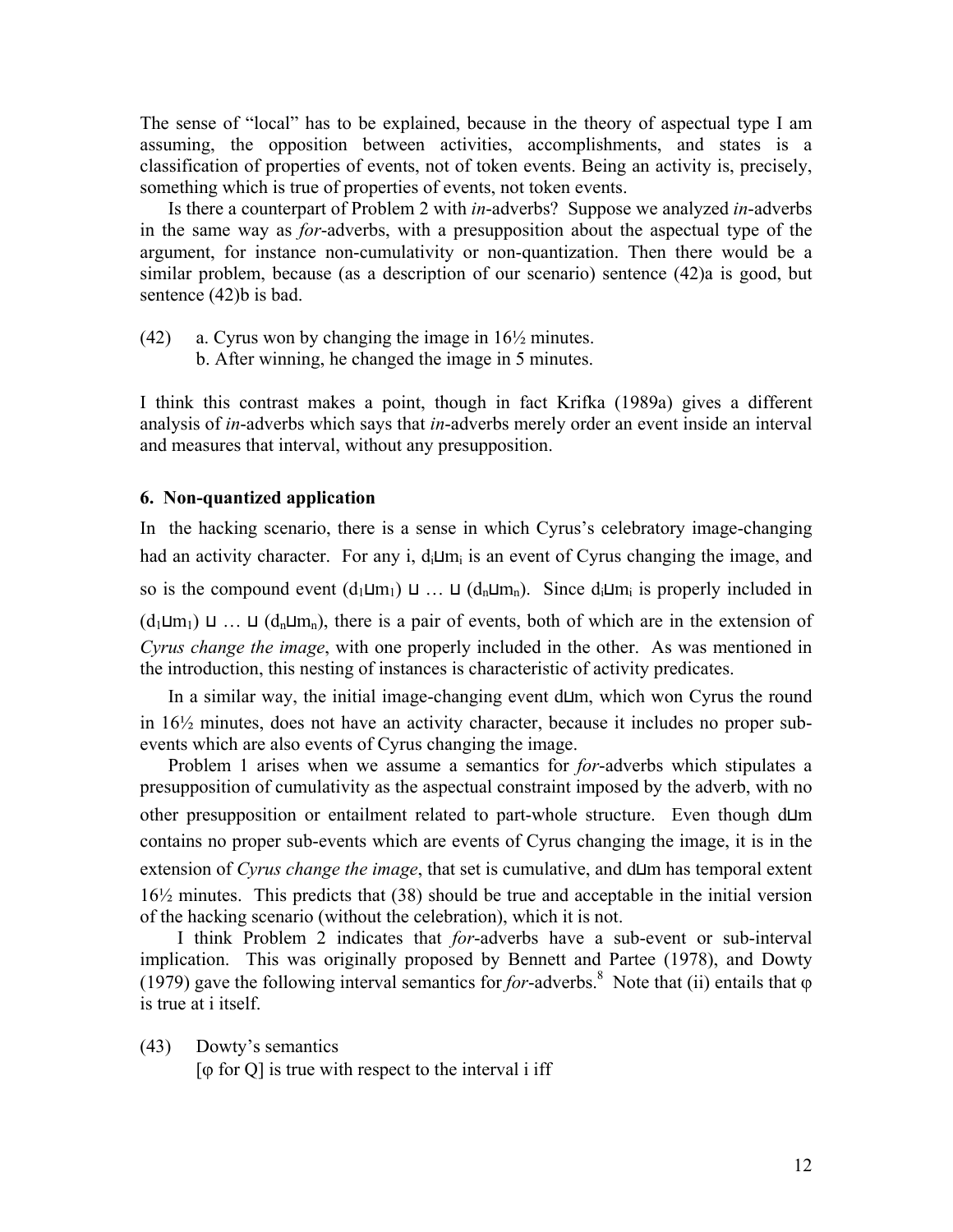The sense of "local" has to be explained, because in the theory of aspectual type I am assuming, the opposition between activities, accomplishments, and states is a classification of properties of events, not of token events. Being an activity is, precisely, something which is true of properties of events, not token events.

Is there a counterpart of Problem 2 with *in*-adverbs? Suppose we analyzed *in*-adverbs in the same way as *for*-adverbs, with a presupposition about the aspectual type of the argument, for instance non-cumulativity or non-quantization. Then there would be a similar problem, because (as a description of our scenario) sentence (42)a is good, but sentence (42)b is bad.

- (42) a. Cyrus won by changing the image in  $16\frac{1}{2}$  minutes.
	- b. After winning, he changed the image in 5 minutes.

I think this contrast makes a point, though in fact Krifka (1989a) gives a different analysis of *in*-adverbs which says that *in*-adverbs merely order an event inside an interval and measures that interval, without any presupposition.

# **6. Non-quantized application**

In the hacking scenario, there is a sense in which Cyrus's celebratory image-changing had an activity character. For any i,  $d_i \sqcup m_i$  is an event of Cyrus changing the image, and so is the compound event  $(d_1 \sqcup m_1) \sqcup ... \sqcup (d_n \sqcup m_n)$ . Since  $d_i \sqcup m_i$  is properly included in  $(d_1 \sqcup m_1) \sqcup ... \sqcup (d_n \sqcup m_n)$ , there is a pair of events, both of which are in the extension of *Cyrus change the image*, with one properly included in the other. As was mentioned in the introduction, this nesting of instances is characteristic of activity predicates.

In a similar way, the initial image-changing event d⊔m, which won Cyrus the round in 16½ minutes, does not have an activity character, because it includes no proper subevents which are also events of Cyrus changing the image.

Problem 1 arises when we assume a semantics for *for*-adverbs which stipulates a presupposition of cumulativity as the aspectual constraint imposed by the adverb, with no other presupposition or entailment related to part-whole structure. Even though d⊔m contains no proper sub-events which are events of Cyrus changing the image, it is in the extension of *Cyrus change the image*, that set is cumulative, and d⊔m has temporal extent 16½ minutes. This predicts that (38) should be true and acceptable in the initial version of the hacking scenario (without the celebration), which it is not.

 I think Problem 2 indicates that *for*-adverbs have a sub-event or sub-interval implication. This was originally proposed by Bennett and Partee (1978), and Dowty (1979) gave the following interval semantics for *for*-adverbs.<sup>8</sup> Note that (ii) entails that  $\varphi$ is true at i itself.

(43) Dowty's semantics

 $\lceil \phi \rceil$  for Q is true with respect to the interval i iff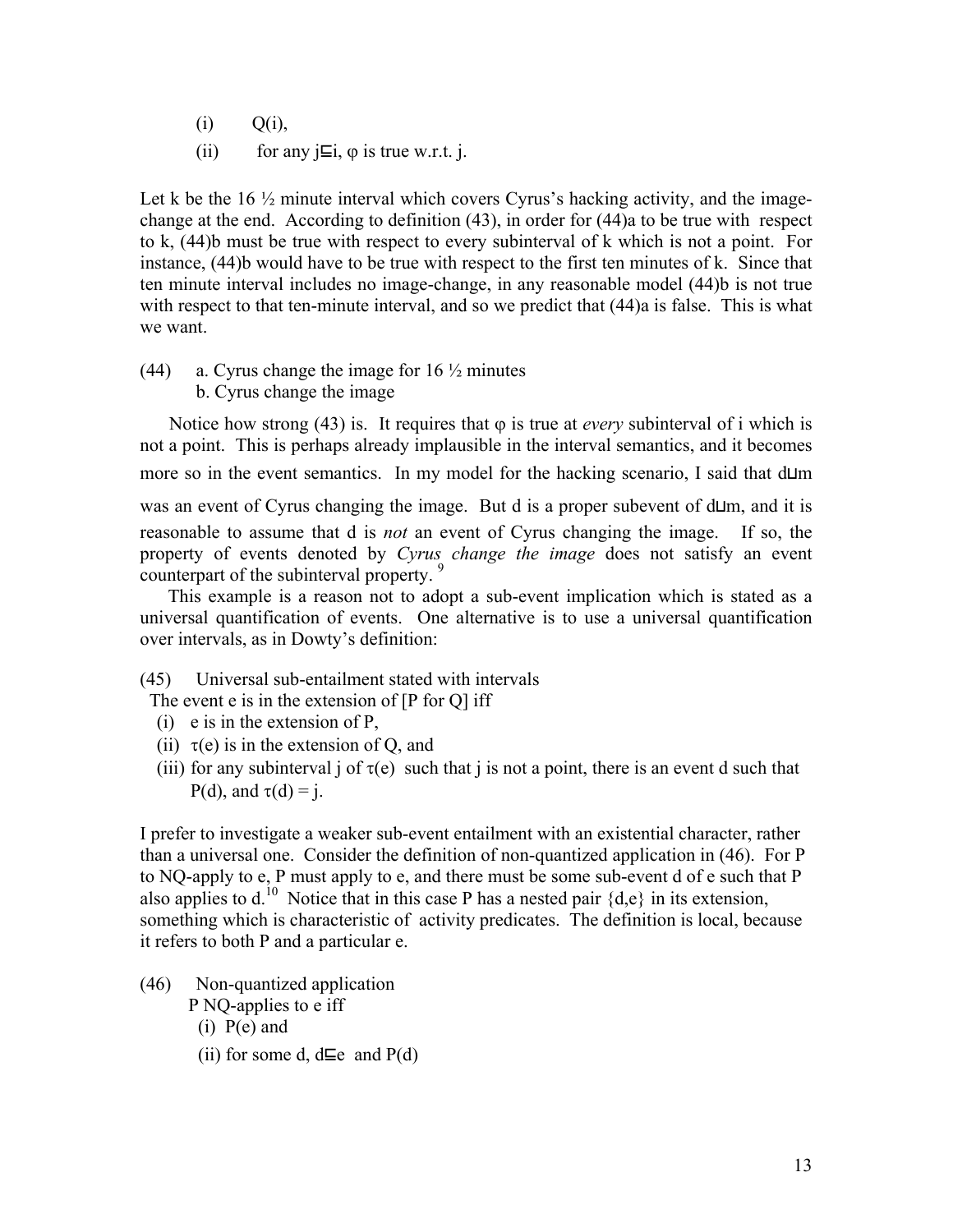- $(i)$   $Q(i)$ ,
- (ii) for any j $\Xi$ i,  $\varphi$  is true w.r.t. j.

Let k be the  $16\frac{1}{2}$  minute interval which covers Cyrus's hacking activity, and the imagechange at the end. According to definition (43), in order for (44)a to be true with respect to k, (44)b must be true with respect to every subinterval of k which is not a point. For instance, (44)b would have to be true with respect to the first ten minutes of k. Since that ten minute interval includes no image-change, in any reasonable model (44)b is not true with respect to that ten-minute interval, and so we predict that  $(44)$ a is false. This is what we want.

(44) a. Cyrus change the image for  $16\frac{1}{2}$  minutes b. Cyrus change the image

Notice how strong (43) is. It requires that  $\varphi$  is true at *every* subinterval of i which is not a point. This is perhaps already implausible in the interval semantics, and it becomes more so in the event semantics. In my model for the hacking scenario, I said that d⊔m was an event of Cyrus changing the image. But d is a proper subevent of d⊔m, and it is reasonable to assume that d is *not* an event of Cyrus changing the image. If so, the property of events denoted by *Cyrus change the image* does not satisfy an event counterpart of the subinterval property.

This example is a reason not to adopt a sub-event implication which is stated as a universal quantification of events. One alternative is to use a universal quantification over intervals, as in Dowty's definition:

(45) Universal sub-entailment stated with intervals

The event e is in the extension of [P for Q] iff

- (i) e is in the extension of P,
- (ii)  $\tau(e)$  is in the extension of Q, and
- (iii) for any subinterval j of  $\tau(e)$  such that j is not a point, there is an event d such that P(d), and  $\tau(d) = j$ .

I prefer to investigate a weaker sub-event entailment with an existential character, rather than a universal one. Consider the definition of non-quantized application in (46). For P to NQ-apply to e, P must apply to e, and there must be some sub-event d of e such that P also applies to d.<sup>10</sup> Notice that in this case P has a nested pair  $\{d,e\}$  in its extension, something which is characteristic of activity predicates. The definition is local, because it refers to both P and a particular e.

- (46) Non-quantized application P NQ-applies to e iff
	- $(i)$  P(e) and
	- (ii) for some d, d⊑e and  $P(d)$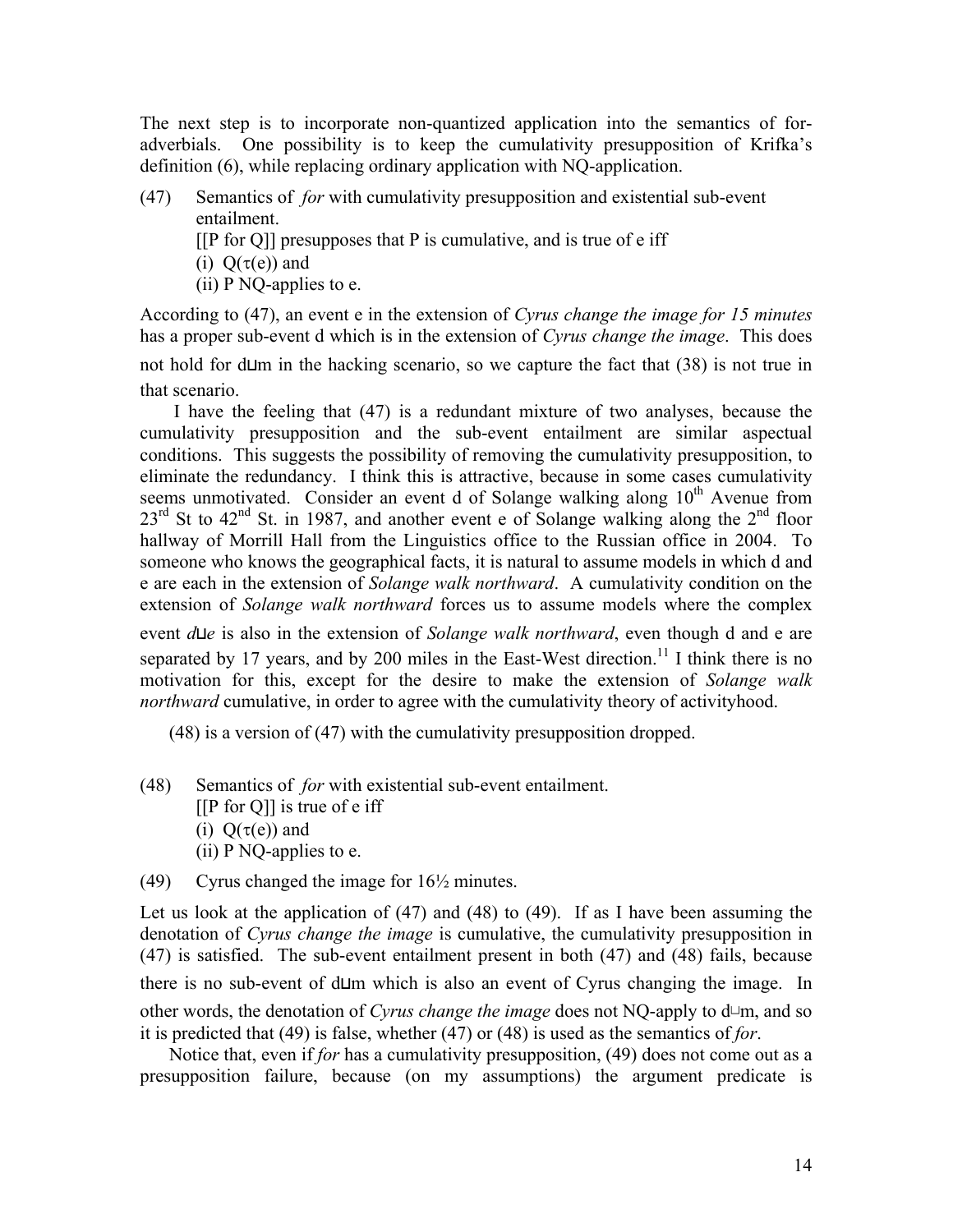The next step is to incorporate non-quantized application into the semantics of foradverbials. One possibility is to keep the cumulativity presupposition of Krifka's definition (6), while replacing ordinary application with NQ-application.

- (47) Semantics of *for* with cumulativity presupposition and existential sub-event entailment.
	- $[$ [ $[$ P for  $Q$ ]] presupposes that  $P$  is cumulative, and is true of e iff
	- (i)  $O(\tau(e))$  and
	- (ii) P NQ-applies to e.

According to (47), an event e in the extension of *Cyrus change the image for 15 minutes* has a proper sub-event d which is in the extension of *Cyrus change the image*. This does not hold for d⊔m in the hacking scenario, so we capture the fact that (38) is not true in that scenario.

 I have the feeling that (47) is a redundant mixture of two analyses, because the cumulativity presupposition and the sub-event entailment are similar aspectual conditions. This suggests the possibility of removing the cumulativity presupposition, to eliminate the redundancy. I think this is attractive, because in some cases cumulativity seems unmotivated. Consider an event d of Solange walking along  $10<sup>th</sup>$  Avenue from  $23^{\text{rd}}$  St to  $42^{\text{nd}}$  St. in 1987, and another event e of Solange walking along the  $2^{\text{nd}}$  floor hallway of Morrill Hall from the Linguistics office to the Russian office in 2004. To someone who knows the geographical facts, it is natural to assume models in which d and e are each in the extension of *Solange walk northward*. A cumulativity condition on the extension of *Solange walk northward* forces us to assume models where the complex

event *d*⊔*e* is also in the extension of *Solange walk northward*, even though d and e are separated by 17 years, and by 200 miles in the East-West direction.<sup>11</sup> I think there is no motivation for this, except for the desire to make the extension of *Solange walk northward* cumulative, in order to agree with the cumulativity theory of activityhood.

(48) is a version of (47) with the cumulativity presupposition dropped.

- (48) Semantics of *for* with existential sub-event entailment. [[P for Q]] is true of e iff
	- (i)  $Q(\tau(e))$  and
	- $(ii)$  P NQ-applies to e.
- (49) Cyrus changed the image for 16½ minutes.

Let us look at the application of (47) and (48) to (49). If as I have been assuming the denotation of *Cyrus change the image* is cumulative, the cumulativity presupposition in (47) is satisfied. The sub-event entailment present in both (47) and (48) fails, because there is no sub-event of d⊔m which is also an event of Cyrus changing the image. In other words, the denotation of *Cyrus change the image* does not NQ-apply to d⊔m, and so it is predicted that (49) is false, whether (47) or (48) is used as the semantics of *for*.

Notice that, even if *for* has a cumulativity presupposition, (49) does not come out as a presupposition failure, because (on my assumptions) the argument predicate is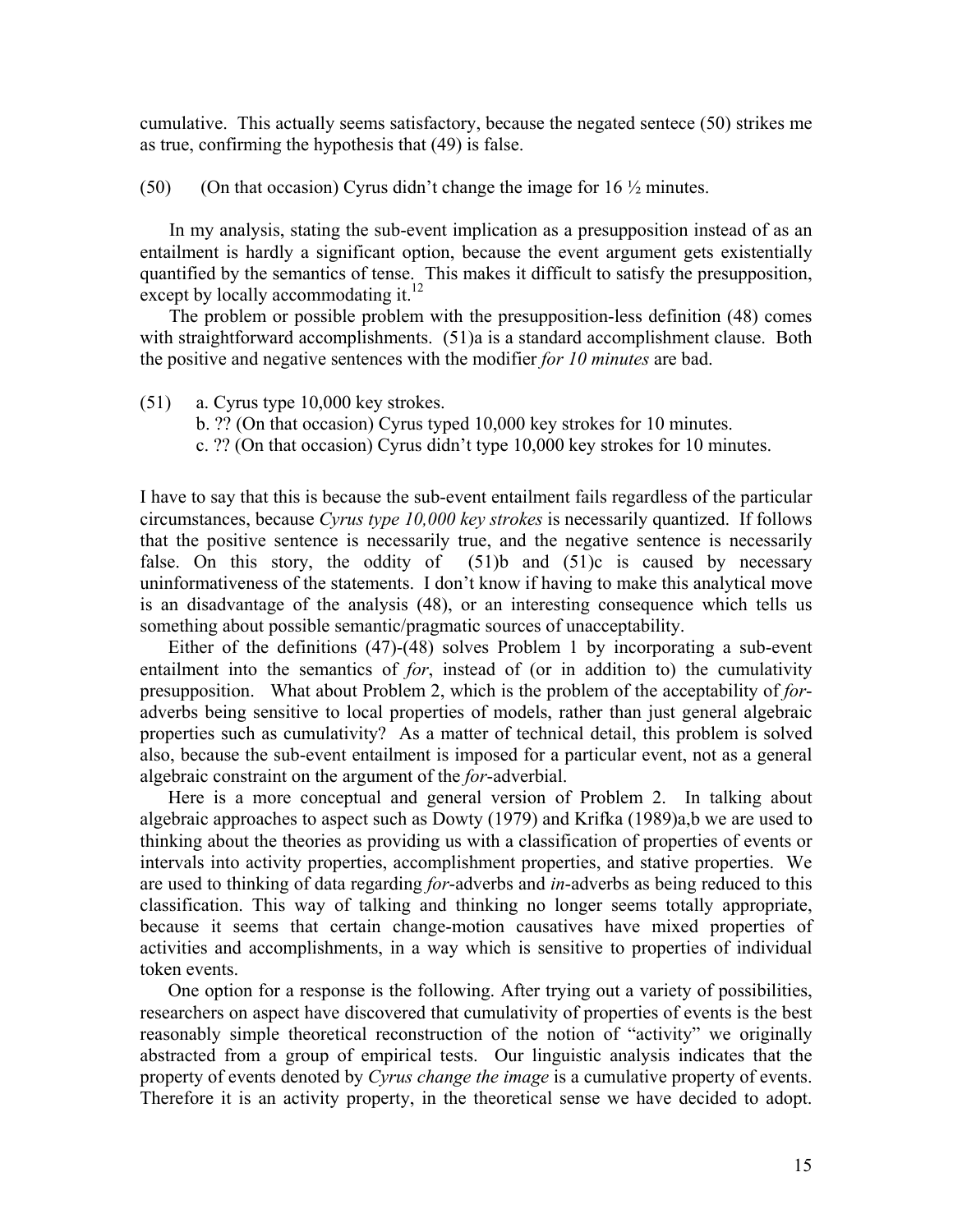cumulative. This actually seems satisfactory, because the negated sentece (50) strikes me as true, confirming the hypothesis that (49) is false.

(50) (On that occasion) Cyrus didn't change the image for  $16\frac{1}{2}$  minutes.

In my analysis, stating the sub-event implication as a presupposition instead of as an entailment is hardly a significant option, because the event argument gets existentially quantified by the semantics of tense. This makes it difficult to satisfy the presupposition, except by locally accommodating it. $12$ 

The problem or possible problem with the presupposition-less definition (48) comes with straightforward accomplishments. (51)a is a standard accomplishment clause. Both the positive and negative sentences with the modifier *for 10 minutes* are bad.

- (51) a. Cyrus type 10,000 key strokes.
	- b. ?? (On that occasion) Cyrus typed 10,000 key strokes for 10 minutes.
	- c. ?? (On that occasion) Cyrus didn't type 10,000 key strokes for 10 minutes.

I have to say that this is because the sub-event entailment fails regardless of the particular circumstances, because *Cyrus type 10,000 key strokes* is necessarily quantized. If follows that the positive sentence is necessarily true, and the negative sentence is necessarily false. On this story, the oddity of  $(51)b$  and  $(51)c$  is caused by necessary uninformativeness of the statements. I don't know if having to make this analytical move is an disadvantage of the analysis (48), or an interesting consequence which tells us something about possible semantic/pragmatic sources of unacceptability.

Either of the definitions  $(47)$ - $(48)$  solves Problem 1 by incorporating a sub-event entailment into the semantics of *for*, instead of (or in addition to) the cumulativity presupposition. What about Problem 2, which is the problem of the acceptability of *for*adverbs being sensitive to local properties of models, rather than just general algebraic properties such as cumulativity? As a matter of technical detail, this problem is solved also, because the sub-event entailment is imposed for a particular event, not as a general algebraic constraint on the argument of the *for*-adverbial.

Here is a more conceptual and general version of Problem 2. In talking about algebraic approaches to aspect such as Dowty (1979) and Krifka (1989)a,b we are used to thinking about the theories as providing us with a classification of properties of events or intervals into activity properties, accomplishment properties, and stative properties. We are used to thinking of data regarding *for*-adverbs and *in*-adverbs as being reduced to this classification. This way of talking and thinking no longer seems totally appropriate, because it seems that certain change-motion causatives have mixed properties of activities and accomplishments, in a way which is sensitive to properties of individual token events.

One option for a response is the following. After trying out a variety of possibilities, researchers on aspect have discovered that cumulativity of properties of events is the best reasonably simple theoretical reconstruction of the notion of "activity" we originally abstracted from a group of empirical tests. Our linguistic analysis indicates that the property of events denoted by *Cyrus change the image* is a cumulative property of events. Therefore it is an activity property, in the theoretical sense we have decided to adopt.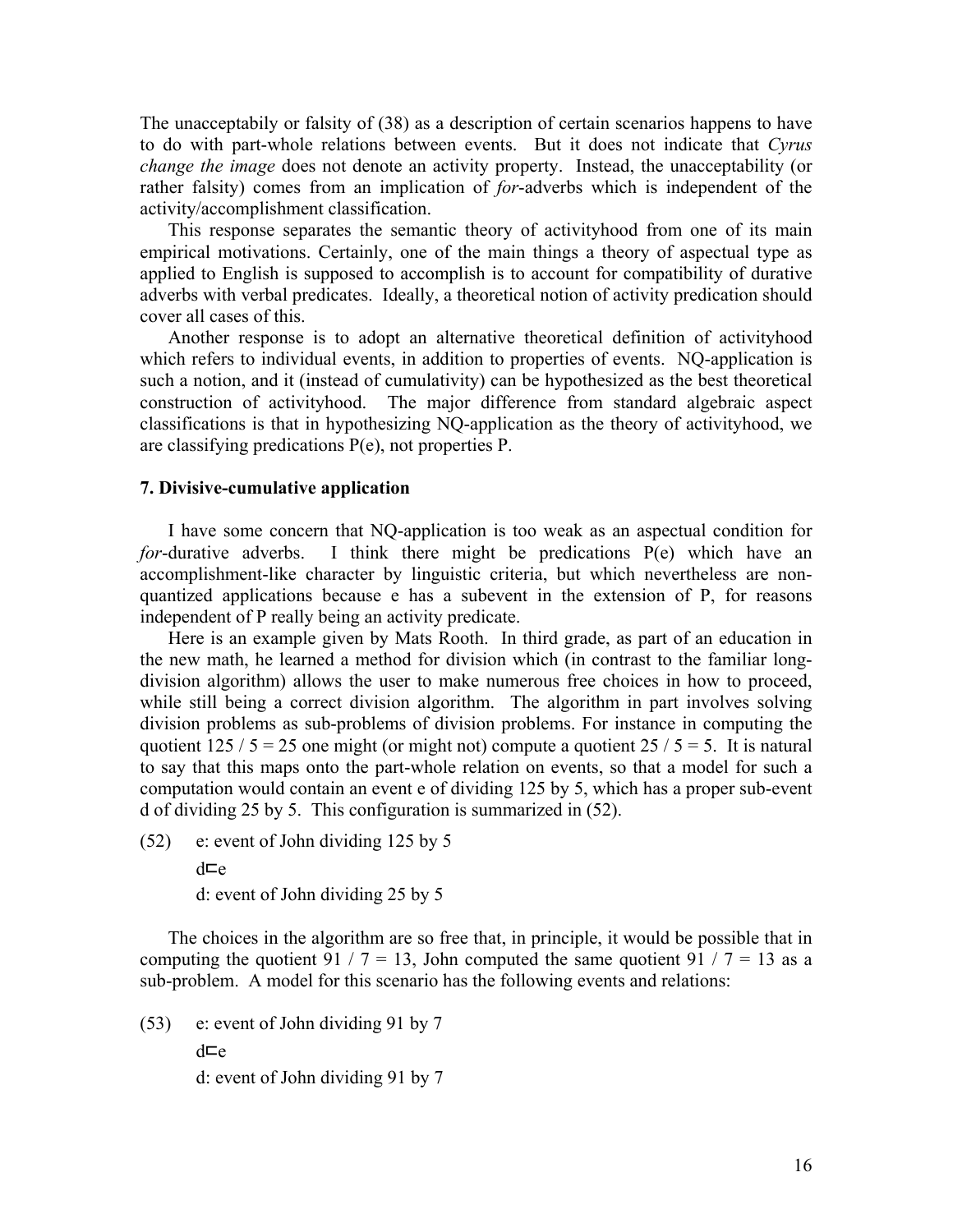The unacceptabily or falsity of (38) as a description of certain scenarios happens to have to do with part-whole relations between events. But it does not indicate that *Cyrus change the image* does not denote an activity property. Instead, the unacceptability (or rather falsity) comes from an implication of *for*-adverbs which is independent of the activity/accomplishment classification.

This response separates the semantic theory of activityhood from one of its main empirical motivations. Certainly, one of the main things a theory of aspectual type as applied to English is supposed to accomplish is to account for compatibility of durative adverbs with verbal predicates. Ideally, a theoretical notion of activity predication should cover all cases of this.

Another response is to adopt an alternative theoretical definition of activityhood which refers to individual events, in addition to properties of events. NQ-application is such a notion, and it (instead of cumulativity) can be hypothesized as the best theoretical construction of activityhood. The major difference from standard algebraic aspect classifications is that in hypothesizing NQ-application as the theory of activityhood, we are classifying predications P(e), not properties P.

#### **7. Divisive-cumulative application**

I have some concern that NQ-application is too weak as an aspectual condition for *for*-durative adverbs. I think there might be predications P(e) which have an accomplishment-like character by linguistic criteria, but which nevertheless are nonquantized applications because e has a subevent in the extension of P, for reasons independent of P really being an activity predicate.

Here is an example given by Mats Rooth. In third grade, as part of an education in the new math, he learned a method for division which (in contrast to the familiar longdivision algorithm) allows the user to make numerous free choices in how to proceed, while still being a correct division algorithm. The algorithm in part involves solving division problems as sub-problems of division problems. For instance in computing the quotient  $125 / 5 = 25$  one might (or might not) compute a quotient  $25 / 5 = 5$ . It is natural to say that this maps onto the part-whole relation on events, so that a model for such a computation would contain an event e of dividing 125 by 5, which has a proper sub-event d of dividing 25 by 5. This configuration is summarized in (52).

(52) e: event of John dividing 125 by 5

d⊏e d: event of John dividing 25 by 5

The choices in the algorithm are so free that, in principle, it would be possible that in computing the quotient 91 / 7 = 13, John computed the same quotient 91 / 7 = 13 as a sub-problem. A model for this scenario has the following events and relations:

(53) e: event of John dividing 91 by 7 d⊏e d: event of John dividing 91 by 7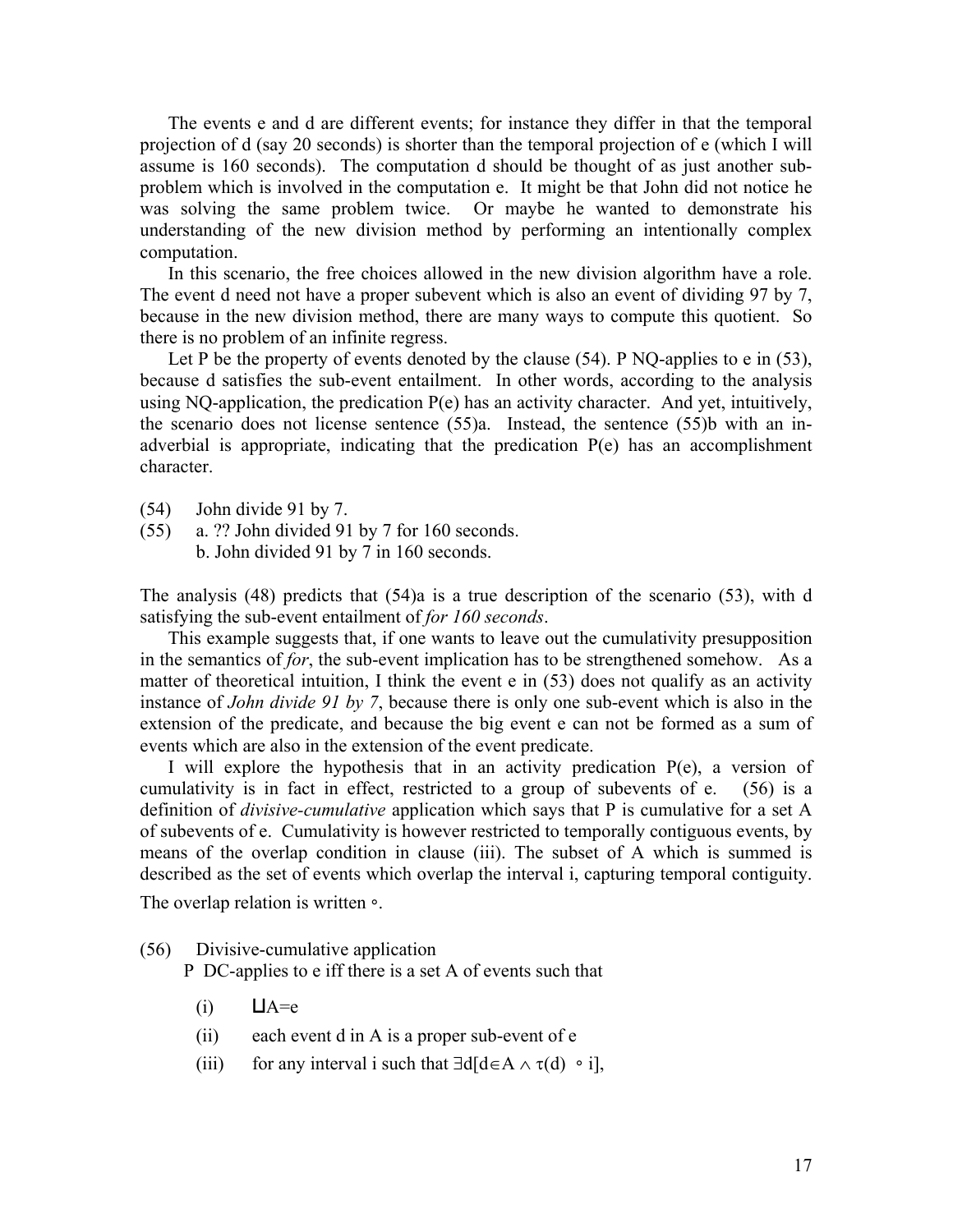The events e and d are different events; for instance they differ in that the temporal projection of d (say 20 seconds) is shorter than the temporal projection of e (which I will assume is 160 seconds). The computation d should be thought of as just another subproblem which is involved in the computation e. It might be that John did not notice he was solving the same problem twice. Or maybe he wanted to demonstrate his understanding of the new division method by performing an intentionally complex computation.

In this scenario, the free choices allowed in the new division algorithm have a role. The event d need not have a proper subevent which is also an event of dividing 97 by 7, because in the new division method, there are many ways to compute this quotient. So there is no problem of an infinite regress.

Let P be the property of events denoted by the clause (54). P NQ-applies to e in (53), because d satisfies the sub-event entailment. In other words, according to the analysis using NQ-application, the predication  $P(e)$  has an activity character. And yet, intuitively, the scenario does not license sentence (55)a. Instead, the sentence (55)b with an inadverbial is appropriate, indicating that the predication P(e) has an accomplishment character.

- (54) John divide 91 by 7.
- (55) a. ?? John divided 91 by 7 for 160 seconds.

b. John divided 91 by 7 in 160 seconds.

The analysis (48) predicts that (54)a is a true description of the scenario (53), with d satisfying the sub-event entailment of *for 160 seconds*.

This example suggests that, if one wants to leave out the cumulativity presupposition in the semantics of *for*, the sub-event implication has to be strengthened somehow. As a matter of theoretical intuition, I think the event e in (53) does not qualify as an activity instance of *John divide 91 by 7*, because there is only one sub-event which is also in the extension of the predicate, and because the big event e can not be formed as a sum of events which are also in the extension of the event predicate.

I will explore the hypothesis that in an activity predication P(e), a version of cumulativity is in fact in effect, restricted to a group of subevents of e. (56) is a definition of *divisive-cumulative* application which says that P is cumulative for a set A of subevents of e. Cumulativity is however restricted to temporally contiguous events, by means of the overlap condition in clause (iii). The subset of A which is summed is described as the set of events which overlap the interval i, capturing temporal contiguity. The overlap relation is written ∘.

(56) Divisive-cumulative application

P DC-applies to e iff there is a set A of events such that

- $(i)$   $\Box A=e$
- (ii) each event d in A is a proper sub-event of e
- (iii) for any interval i such that  $\exists d[d \in A \land \tau(d) \circ i]$ ,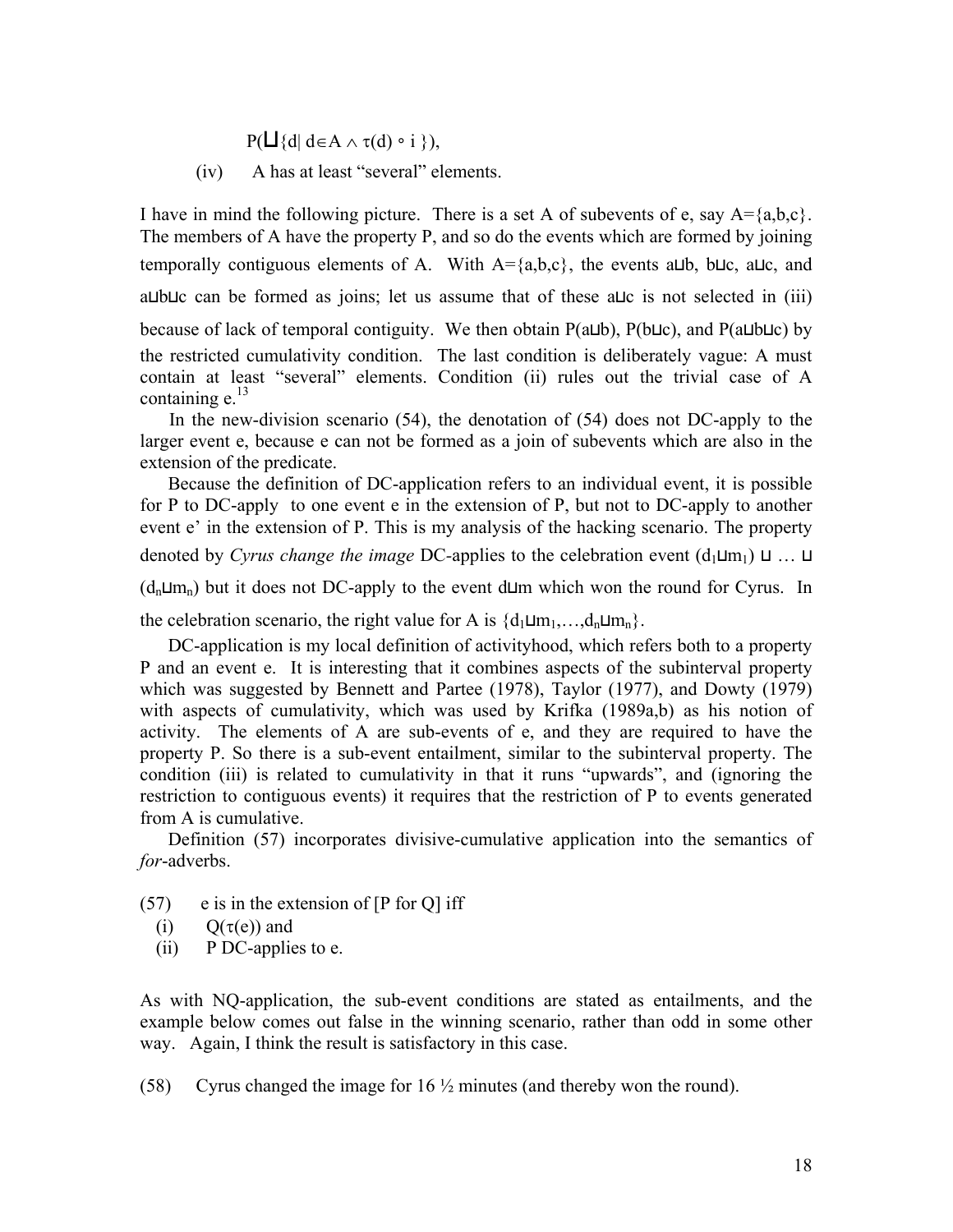$P(\Box \{d | d \in A \land \tau(d) \circ i \})$ ,

(iv) A has at least "several" elements.

I have in mind the following picture. There is a set A of subevents of e, say  $A = \{a,b,c\}$ . The members of A have the property P, and so do the events which are formed by joining temporally contiguous elements of A. With A={a,b,c}, the events a⊔b, b⊔c, a⊔c, and a⊔b⊔c can be formed as joins; let us assume that of these a⊔c is not selected in (iii) because of lack of temporal contiguity. We then obtain P(a⊔b), P(b⊔c), and P(a⊔b⊔c) by the restricted cumulativity condition. The last condition is deliberately vague: A must contain at least "several" elements. Condition (ii) rules out the trivial case of A containing  $e^{13}$ 

In the new-division scenario (54), the denotation of (54) does not DC-apply to the larger event e, because e can not be formed as a join of subevents which are also in the extension of the predicate.

Because the definition of DC-application refers to an individual event, it is possible for P to DC-apply to one event e in the extension of P, but not to DC-apply to another event e' in the extension of P. This is my analysis of the hacking scenario. The property denoted by *Cyrus change the image* DC-applies to the celebration event (d<sub>1</sub>⊔m<sub>1</sub>) ⊔ … ⊔ (dn⊔mn) but it does not DC-apply to the event d⊔m which won the round for Cyrus. In

the celebration scenario, the right value for A is  $\{d_1 \sqcup m_1, \ldots, d_n \sqcup m_n\}$ .

DC-application is my local definition of activityhood, which refers both to a property P and an event e. It is interesting that it combines aspects of the subinterval property which was suggested by Bennett and Partee (1978), Taylor (1977), and Dowty (1979) with aspects of cumulativity, which was used by Krifka (1989a,b) as his notion of activity. The elements of A are sub-events of e, and they are required to have the property P. So there is a sub-event entailment, similar to the subinterval property. The condition (iii) is related to cumulativity in that it runs "upwards", and (ignoring the restriction to contiguous events) it requires that the restriction of P to events generated from A is cumulative.

Definition (57) incorporates divisive-cumulative application into the semantics of *for*-adverbs.

- $(57)$  e is in the extension of [P for Q] iff
	- (i)  $O(\tau(e))$  and
	- (ii) P DC-applies to e.

As with NQ-application, the sub-event conditions are stated as entailments, and the example below comes out false in the winning scenario, rather than odd in some other way. Again, I think the result is satisfactory in this case.

(58) Cyrus changed the image for 16 ½ minutes (and thereby won the round).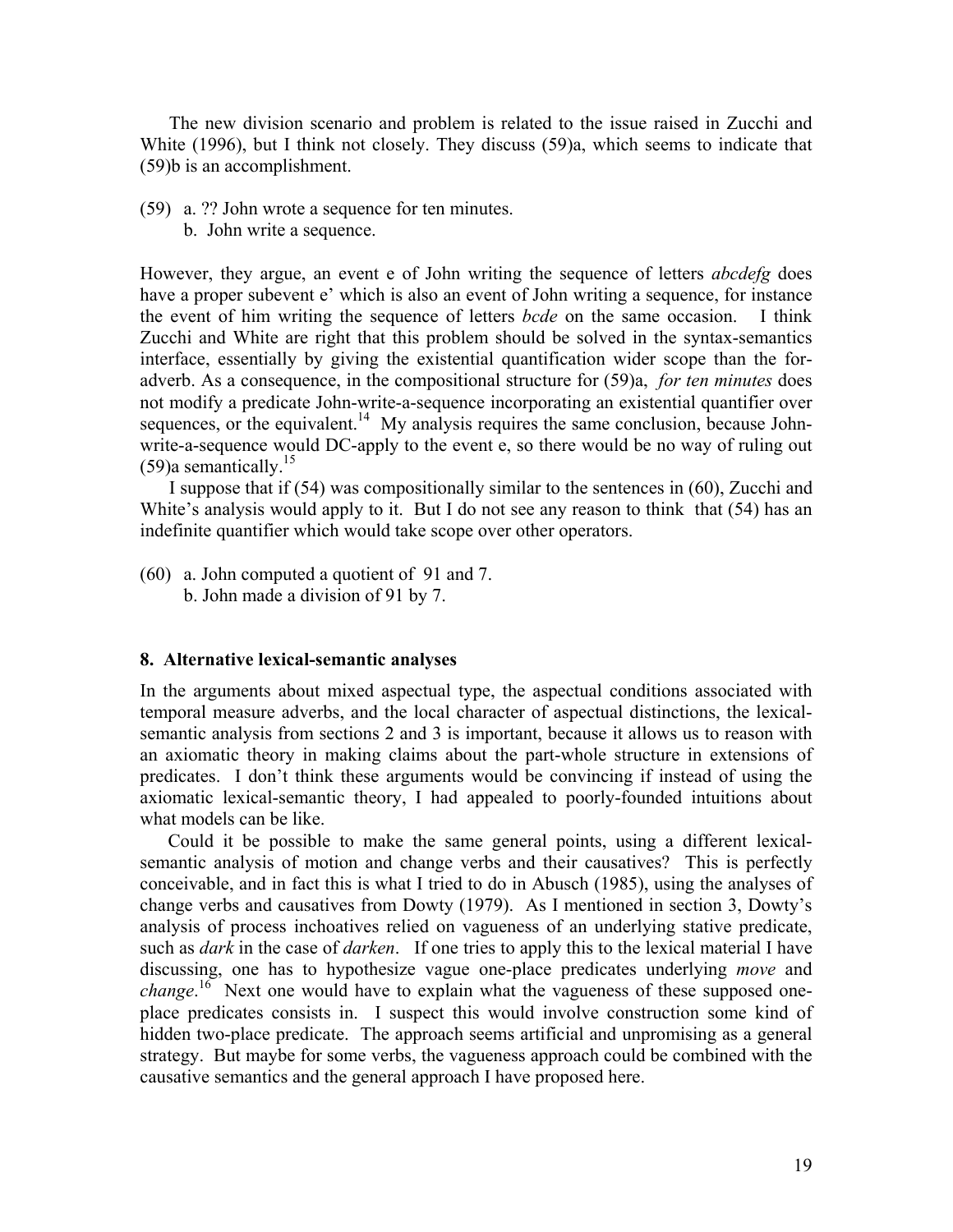The new division scenario and problem is related to the issue raised in Zucchi and White (1996), but I think not closely. They discuss (59)a, which seems to indicate that (59)b is an accomplishment.

- (59) a. ?? John wrote a sequence for ten minutes.
	- b. John write a sequence.

However, they argue, an event e of John writing the sequence of letters *abcdefg* does have a proper subevent e' which is also an event of John writing a sequence, for instance the event of him writing the sequence of letters *bcde* on the same occasion. I think Zucchi and White are right that this problem should be solved in the syntax-semantics interface, essentially by giving the existential quantification wider scope than the foradverb. As a consequence, in the compositional structure for (59)a, *for ten minutes* does not modify a predicate John-write-a-sequence incorporating an existential quantifier over sequences, or the equivalent.<sup>14</sup> My analysis requires the same conclusion, because Johnwrite-a-sequence would DC-apply to the event e, so there would be no way of ruling out  $(59)$ a semantically.<sup>15</sup>

I suppose that if (54) was compositionally similar to the sentences in (60), Zucchi and White's analysis would apply to it. But I do not see any reason to think that (54) has an indefinite quantifier which would take scope over other operators.

(60) a. John computed a quotient of 91 and 7. b. John made a division of 91 by 7.

#### **8. Alternative lexical-semantic analyses**

In the arguments about mixed aspectual type, the aspectual conditions associated with temporal measure adverbs, and the local character of aspectual distinctions, the lexicalsemantic analysis from sections 2 and 3 is important, because it allows us to reason with an axiomatic theory in making claims about the part-whole structure in extensions of predicates. I don't think these arguments would be convincing if instead of using the axiomatic lexical-semantic theory, I had appealed to poorly-founded intuitions about what models can be like.

Could it be possible to make the same general points, using a different lexicalsemantic analysis of motion and change verbs and their causatives? This is perfectly conceivable, and in fact this is what I tried to do in Abusch (1985), using the analyses of change verbs and causatives from Dowty (1979). As I mentioned in section 3, Dowty's analysis of process inchoatives relied on vagueness of an underlying stative predicate, such as *dark* in the case of *darken*. If one tries to apply this to the lexical material I have discussing, one has to hypothesize vague one-place predicates underlying *move* and *change*.<sup>16</sup> Next one would have to explain what the vagueness of these supposed oneplace predicates consists in. I suspect this would involve construction some kind of hidden two-place predicate. The approach seems artificial and unpromising as a general strategy. But maybe for some verbs, the vagueness approach could be combined with the causative semantics and the general approach I have proposed here.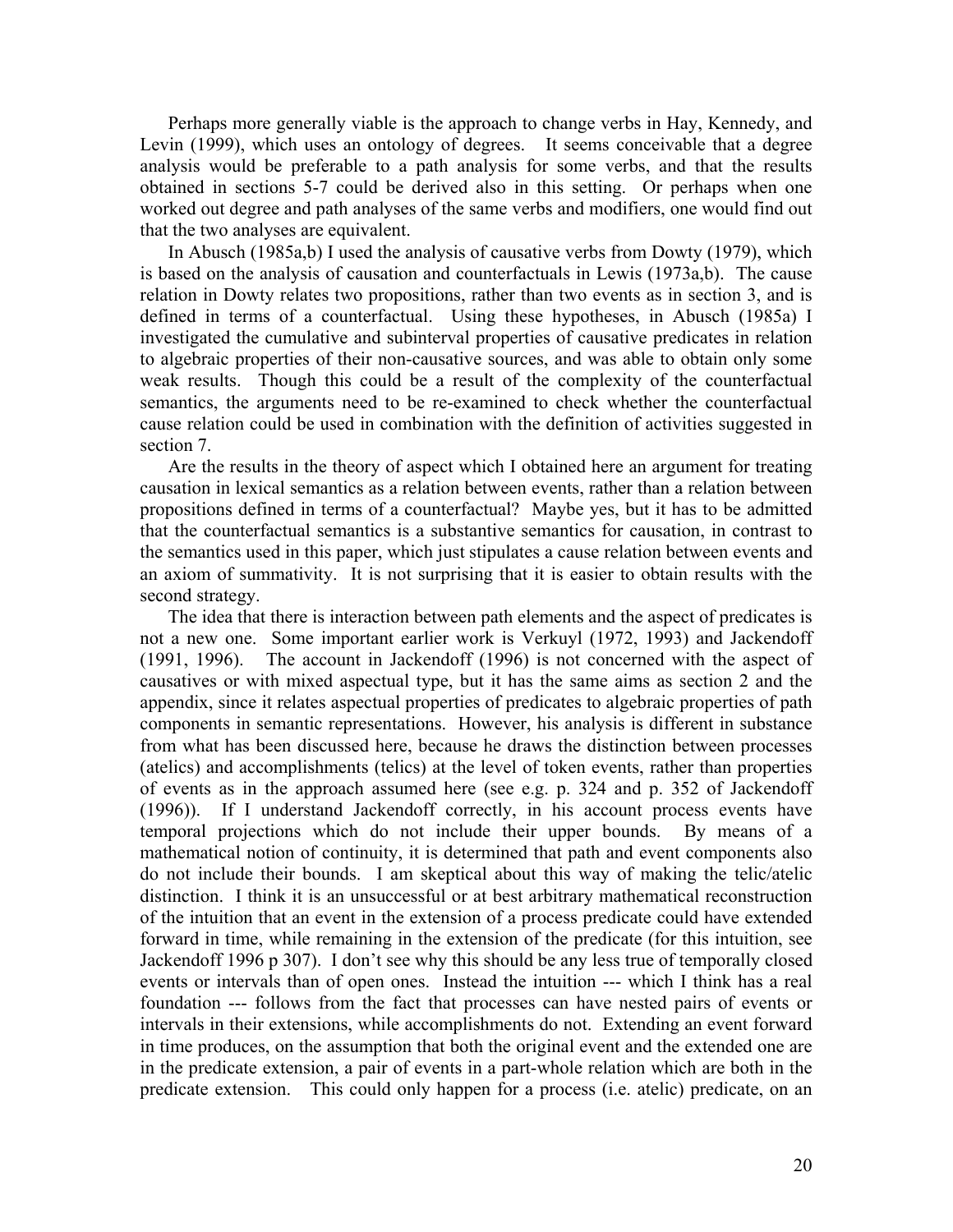Perhaps more generally viable is the approach to change verbs in Hay, Kennedy, and Levin (1999), which uses an ontology of degrees. It seems conceivable that a degree analysis would be preferable to a path analysis for some verbs, and that the results obtained in sections 5-7 could be derived also in this setting. Or perhaps when one worked out degree and path analyses of the same verbs and modifiers, one would find out that the two analyses are equivalent.

In Abusch (1985a,b) I used the analysis of causative verbs from Dowty (1979), which is based on the analysis of causation and counterfactuals in Lewis (1973a,b). The cause relation in Dowty relates two propositions, rather than two events as in section 3, and is defined in terms of a counterfactual. Using these hypotheses, in Abusch (1985a) I investigated the cumulative and subinterval properties of causative predicates in relation to algebraic properties of their non-causative sources, and was able to obtain only some weak results. Though this could be a result of the complexity of the counterfactual semantics, the arguments need to be re-examined to check whether the counterfactual cause relation could be used in combination with the definition of activities suggested in section 7.

Are the results in the theory of aspect which I obtained here an argument for treating causation in lexical semantics as a relation between events, rather than a relation between propositions defined in terms of a counterfactual? Maybe yes, but it has to be admitted that the counterfactual semantics is a substantive semantics for causation, in contrast to the semantics used in this paper, which just stipulates a cause relation between events and an axiom of summativity. It is not surprising that it is easier to obtain results with the second strategy.

The idea that there is interaction between path elements and the aspect of predicates is not a new one. Some important earlier work is Verkuyl (1972, 1993) and Jackendoff (1991, 1996). The account in Jackendoff (1996) is not concerned with the aspect of causatives or with mixed aspectual type, but it has the same aims as section 2 and the appendix, since it relates aspectual properties of predicates to algebraic properties of path components in semantic representations. However, his analysis is different in substance from what has been discussed here, because he draws the distinction between processes (atelics) and accomplishments (telics) at the level of token events, rather than properties of events as in the approach assumed here (see e.g. p. 324 and p. 352 of Jackendoff (1996)). If I understand Jackendoff correctly, in his account process events have temporal projections which do not include their upper bounds. By means of a mathematical notion of continuity, it is determined that path and event components also do not include their bounds. I am skeptical about this way of making the telic/atelic distinction. I think it is an unsuccessful or at best arbitrary mathematical reconstruction of the intuition that an event in the extension of a process predicate could have extended forward in time, while remaining in the extension of the predicate (for this intuition, see Jackendoff 1996 p 307). I don't see why this should be any less true of temporally closed events or intervals than of open ones. Instead the intuition --- which I think has a real foundation --- follows from the fact that processes can have nested pairs of events or intervals in their extensions, while accomplishments do not. Extending an event forward in time produces, on the assumption that both the original event and the extended one are in the predicate extension, a pair of events in a part-whole relation which are both in the predicate extension. This could only happen for a process (i.e. atelic) predicate, on an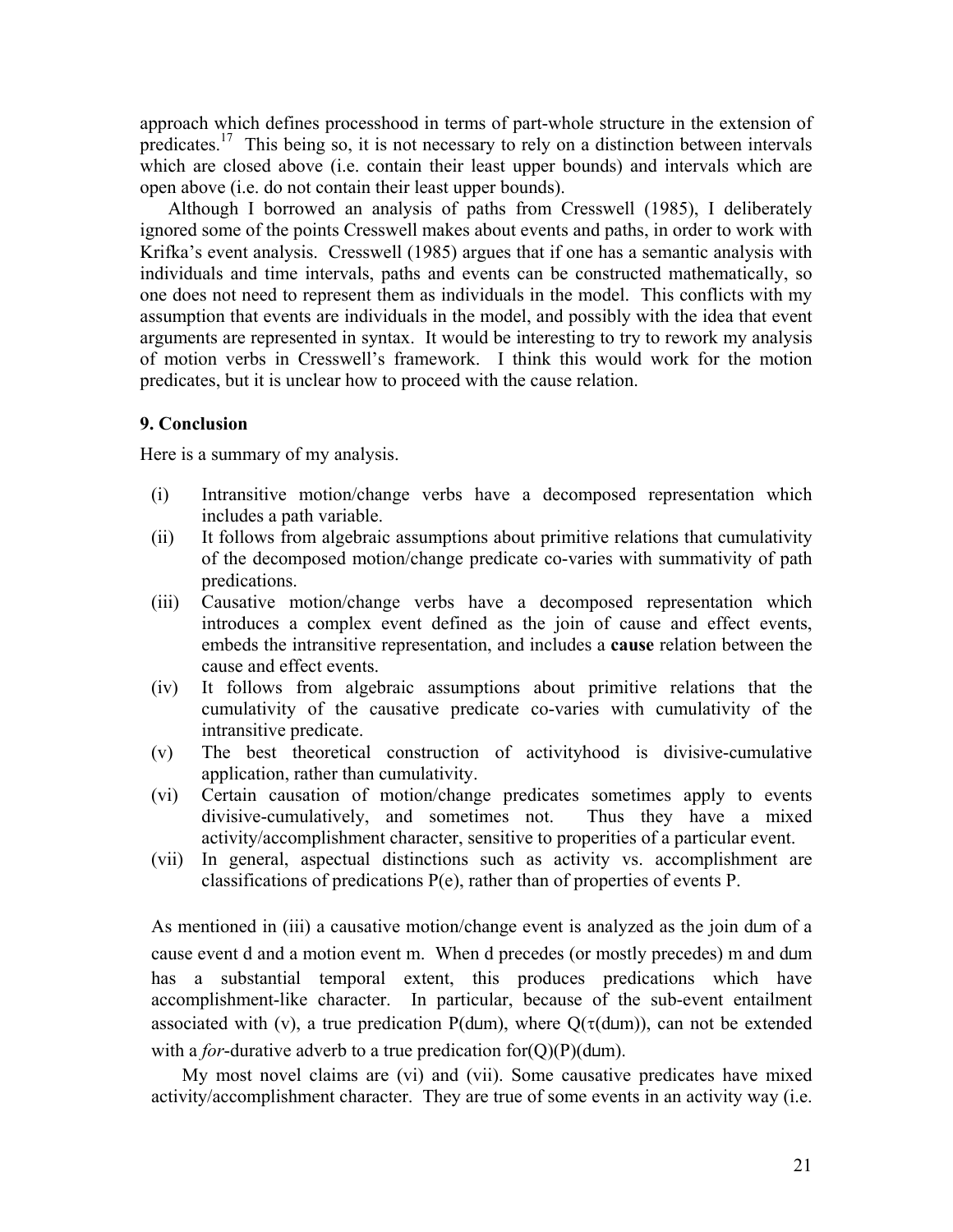approach which defines processhood in terms of part-whole structure in the extension of predicates.<sup>17</sup> This being so, it is not necessary to rely on a distinction between intervals which are closed above (i.e. contain their least upper bounds) and intervals which are open above (i.e. do not contain their least upper bounds).

Although I borrowed an analysis of paths from Cresswell (1985), I deliberately ignored some of the points Cresswell makes about events and paths, in order to work with Krifka's event analysis. Cresswell (1985) argues that if one has a semantic analysis with individuals and time intervals, paths and events can be constructed mathematically, so one does not need to represent them as individuals in the model. This conflicts with my assumption that events are individuals in the model, and possibly with the idea that event arguments are represented in syntax. It would be interesting to try to rework my analysis of motion verbs in Cresswell's framework. I think this would work for the motion predicates, but it is unclear how to proceed with the cause relation.

## **9. Conclusion**

Here is a summary of my analysis.

- (i) Intransitive motion/change verbs have a decomposed representation which includes a path variable.
- (ii) It follows from algebraic assumptions about primitive relations that cumulativity of the decomposed motion/change predicate co-varies with summativity of path predications.
- (iii) Causative motion/change verbs have a decomposed representation which introduces a complex event defined as the join of cause and effect events, embeds the intransitive representation, and includes a **cause** relation between the cause and effect events.
- (iv) It follows from algebraic assumptions about primitive relations that the cumulativity of the causative predicate co-varies with cumulativity of the intransitive predicate.
- (v) The best theoretical construction of activityhood is divisive-cumulative application, rather than cumulativity.
- (vi) Certain causation of motion/change predicates sometimes apply to events divisive-cumulatively, and sometimes not. Thus they have a mixed activity/accomplishment character, sensitive to properities of a particular event.
- (vii) In general, aspectual distinctions such as activity vs. accomplishment are classifications of predications P(e), rather than of properties of events P.

As mentioned in (iii) a causative motion/change event is analyzed as the join d⊔m of a cause event d and a motion event m. When d precedes (or mostly precedes) m and d⊔m has a substantial temporal extent, this produces predications which have accomplishment-like character. In particular, because of the sub-event entailment associated with (v), a true predication P(d⊔m), where  $Q(\tau(d\sqcup m))$ , can not be extended with a *for*-durative adverb to a true predication for(Q)(P)(d⊔m).

My most novel claims are (vi) and (vii). Some causative predicates have mixed activity/accomplishment character. They are true of some events in an activity way (i.e.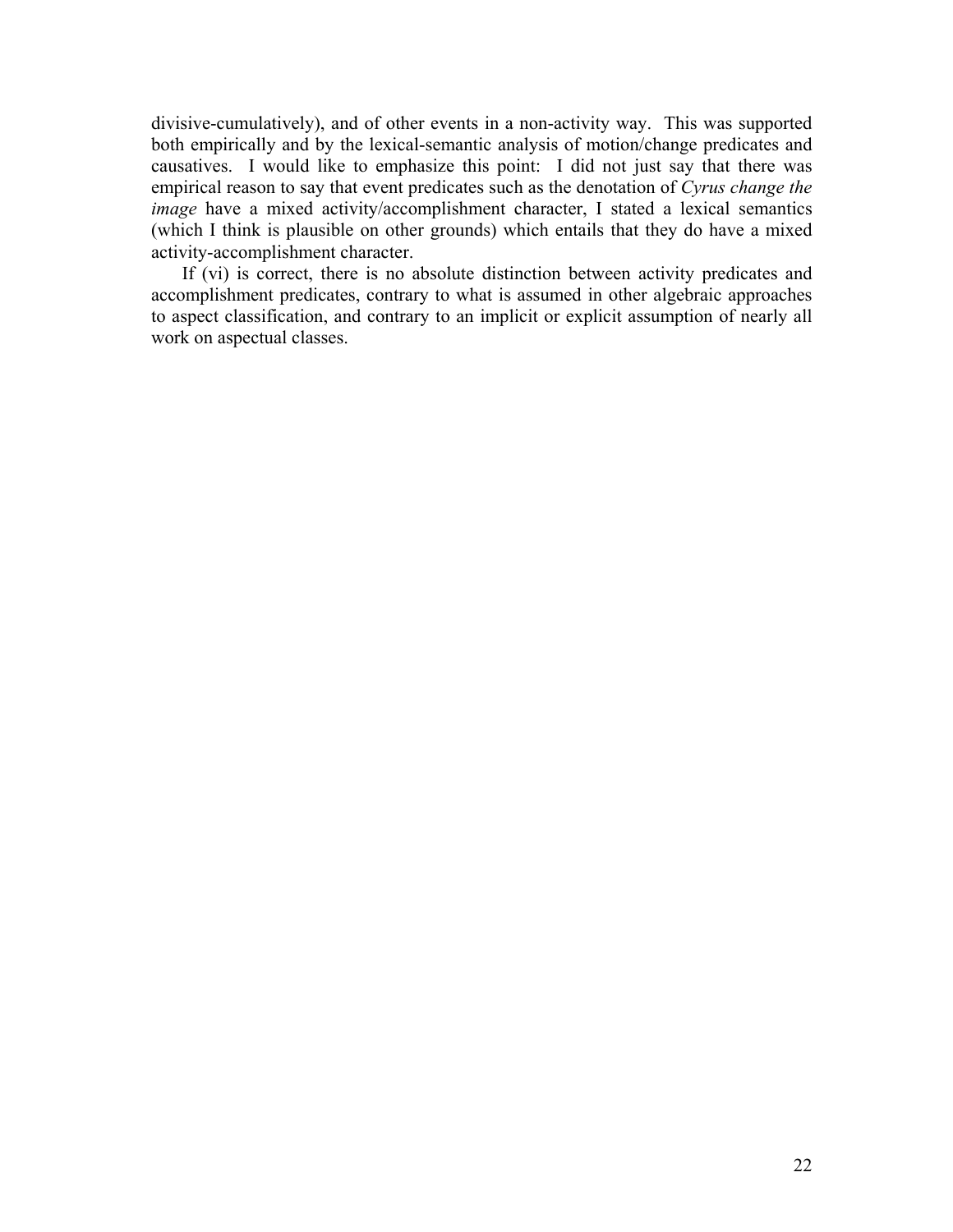divisive-cumulatively), and of other events in a non-activity way. This was supported both empirically and by the lexical-semantic analysis of motion/change predicates and causatives. I would like to emphasize this point: I did not just say that there was empirical reason to say that event predicates such as the denotation of *Cyrus change the image* have a mixed activity/accomplishment character, I stated a lexical semantics (which I think is plausible on other grounds) which entails that they do have a mixed activity-accomplishment character.

If (vi) is correct, there is no absolute distinction between activity predicates and accomplishment predicates, contrary to what is assumed in other algebraic approaches to aspect classification, and contrary to an implicit or explicit assumption of nearly all work on aspectual classes.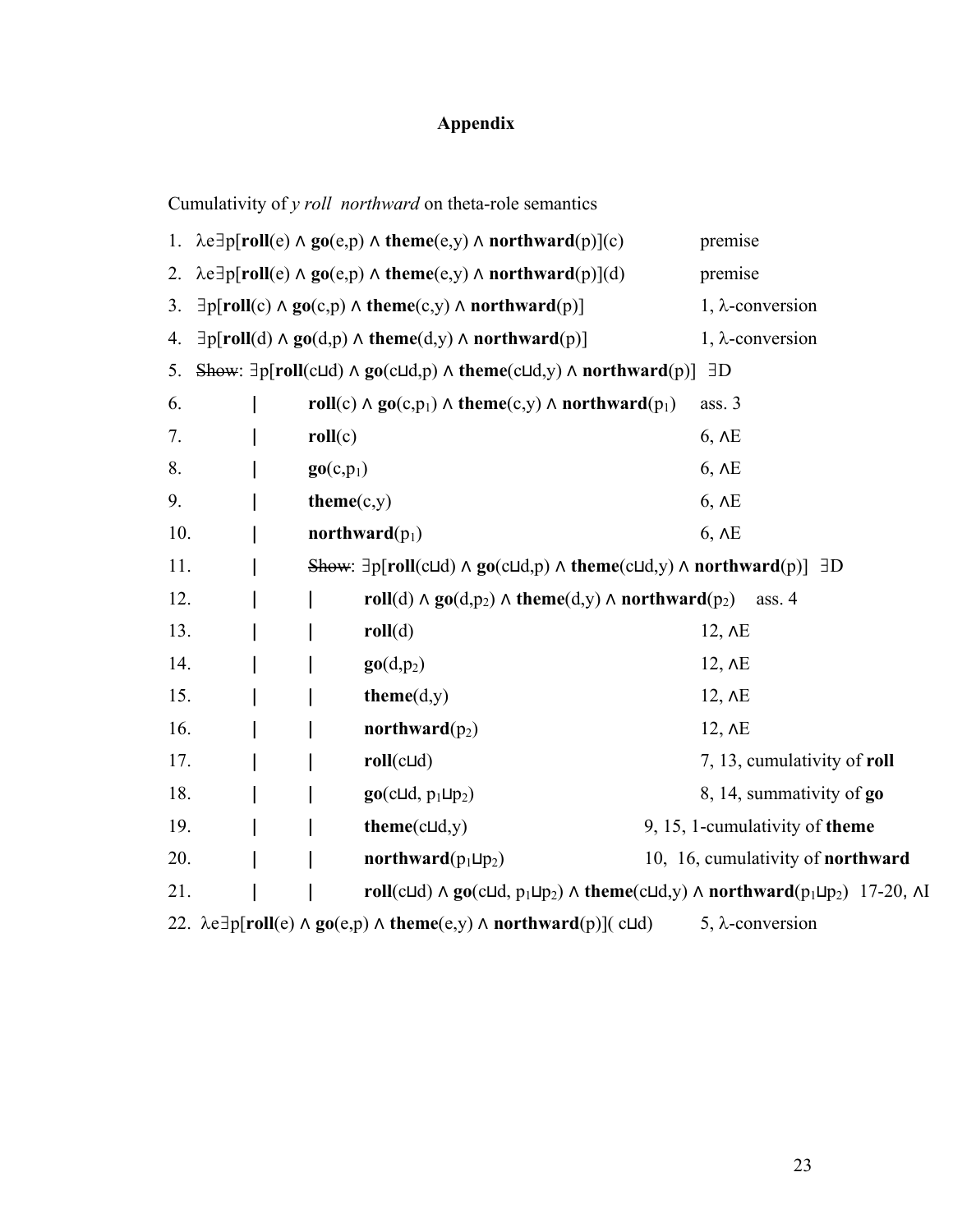# **Appendix**

Cumulativity of *y roll northward* on theta-role semantics

|     |                                                                                                                        |                       | 1. $\lambda e \exists p[roll(e) \land go(e,p) \land theme(e,y) \land northward(p)](c)$                                                                                                         |  | premise                           |  |
|-----|------------------------------------------------------------------------------------------------------------------------|-----------------------|------------------------------------------------------------------------------------------------------------------------------------------------------------------------------------------------|--|-----------------------------------|--|
| 2.  |                                                                                                                        |                       | $\lambda e \exists p[roll(e) \land go(e,p) \land theme(e,y) \land northward(p)](d)$                                                                                                            |  | premise                           |  |
| 3.  |                                                                                                                        |                       | $\exists p[roll(c) \land go(c,p) \land theme(c,y) \land northward(p)]$                                                                                                                         |  | $1, \lambda$ -conversion          |  |
| 4.  |                                                                                                                        |                       | $\exists p$ [roll(d) $\land$ go(d,p) $\land$ theme(d,y) $\land$ northward(p)]                                                                                                                  |  | $1, \lambda$ -conversion          |  |
| 5.  | Show: $\exists p[roll(cl\,] \land go(cl\,], p) \land theme(cl\,], y) \land northward(p)]$<br>$\exists D$               |                       |                                                                                                                                                                                                |  |                                   |  |
| 6.  |                                                                                                                        |                       | roll(c) $\land$ go(c,p <sub>1</sub> ) $\land$ theme(c,y) $\land$ northward(p <sub>1</sub> )                                                                                                    |  | ass. 3                            |  |
| 7.  |                                                                                                                        | roll(c)               |                                                                                                                                                                                                |  | $6, \overline{AB}$                |  |
| 8.  |                                                                                                                        | go(c,p <sub>1</sub> ) |                                                                                                                                                                                                |  | $6, \overline{AB}$                |  |
| 9.  |                                                                                                                        | $theme(c,y)$          |                                                                                                                                                                                                |  | $6, \Delta E$                     |  |
| 10. |                                                                                                                        |                       | northward $(p_1)$                                                                                                                                                                              |  | $6, \Delta E$                     |  |
| 11. |                                                                                                                        |                       | Show: $\exists p$ [roll(c $\Box$ d) $\land$ go(c $\Box$ d, $p$ ) $\land$ theme(c $\Box$ d, $y$ ) $\land$ northward(p)] $\exists D$                                                             |  |                                   |  |
| 12. |                                                                                                                        |                       | roll(d) $\land$ go(d,p <sub>2</sub> ) $\land$ theme(d,y) $\land$ northward(p <sub>2</sub> )                                                                                                    |  | ass. $4$                          |  |
| 13. |                                                                                                                        |                       | roll(d)                                                                                                                                                                                        |  | $12, \overline{AB}$               |  |
| 14. |                                                                                                                        |                       | $\mathbf{g}\mathbf{o}(d,p_2)$                                                                                                                                                                  |  | $12, \overline{AB}$               |  |
| 15. |                                                                                                                        |                       | $theme(d,y)$                                                                                                                                                                                   |  | $12, \overline{AB}$               |  |
| 16. |                                                                                                                        |                       | northward $(p_2)$                                                                                                                                                                              |  | $12, \overline{AB}$               |  |
| 17. |                                                                                                                        |                       | $roll(c\sqcup d)$                                                                                                                                                                              |  | 7, 13, cumulativity of roll       |  |
| 18. |                                                                                                                        |                       | $\mathbf{go}(\text{c} \sqcup \text{d}, \text{p}_1 \sqcup \text{p}_2)$                                                                                                                          |  | 8, 14, summativity of go          |  |
| 19. |                                                                                                                        |                       | $theme(c\sqcup d,y)$                                                                                                                                                                           |  | 9, 15, 1-cumulativity of theme    |  |
| 20. |                                                                                                                        |                       | northward $(p_1 \sqcup p_2)$                                                                                                                                                                   |  | 10, 16, cumulativity of northward |  |
| 21. |                                                                                                                        |                       | roll(c $\sqcup$ d) $\land$ go(c $\sqcup$ d, p <sub>1</sub> $\sqcup$ p <sub>2</sub> ) $\land$ theme(c $\sqcup$ d,y) $\land$ northward(p <sub>1</sub> $\sqcup$ p <sub>2</sub> ) 17-20, $\land$ I |  |                                   |  |
|     | 22. $\lambda e \exists p[roll(e) \land go(e,p) \land theme(e,y) \land northward(p)]$ (cld)<br>5, $\lambda$ -conversion |                       |                                                                                                                                                                                                |  |                                   |  |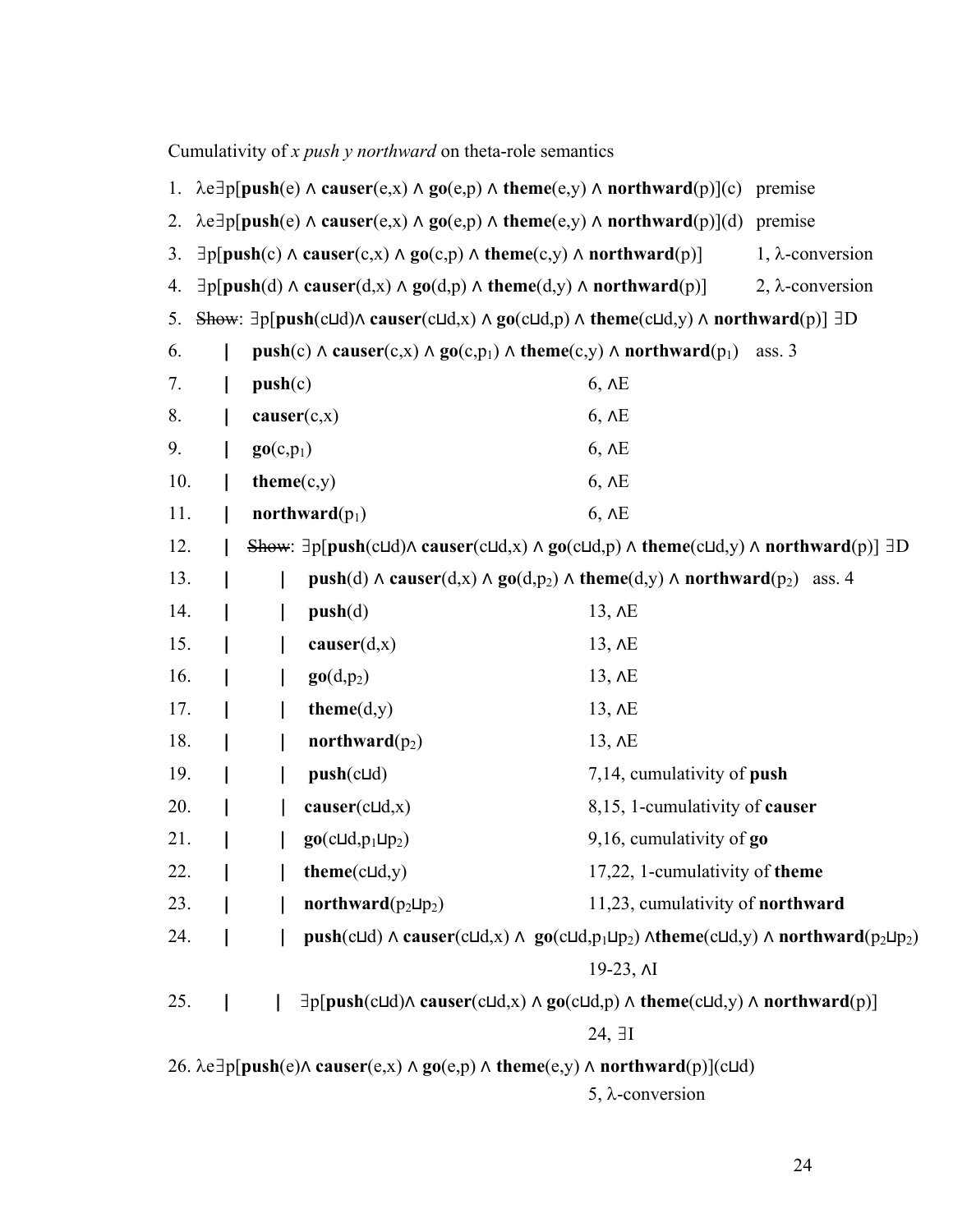|                                                                                                                                                                               |                                                                                                                                                  |                       | Cumulativity of x push y northward on theta-role semantics                                                                                                                                                  |                                  |                          |  |  |
|-------------------------------------------------------------------------------------------------------------------------------------------------------------------------------|--------------------------------------------------------------------------------------------------------------------------------------------------|-----------------------|-------------------------------------------------------------------------------------------------------------------------------------------------------------------------------------------------------------|----------------------------------|--------------------------|--|--|
| 1.                                                                                                                                                                            | $\lambda e \exists p[push(e) \land causer(e,x) \land go(e,p) \land theme(e,y) \land northward(p)](c)$<br>premise                                 |                       |                                                                                                                                                                                                             |                                  |                          |  |  |
| 2.                                                                                                                                                                            |                                                                                                                                                  |                       | $\lambda e \exists p[push(e) \land \text{cauer}(e, x) \land \text{go}(e, p) \land \text{theme}(e, y) \land \text{northward}(p)](d)$ premise                                                                 |                                  |                          |  |  |
| 3.                                                                                                                                                                            |                                                                                                                                                  |                       | $\exists p[push(c) \land \text{causer}(c, x) \land \text{go}(c, p) \land \text{theme}(c, y) \land \text{northward}(p)]$                                                                                     |                                  | $1, \lambda$ -conversion |  |  |
| 4.                                                                                                                                                                            | $\exists p[push(d) \land \text{causer}(d,x) \land \text{go}(d,p) \land \text{theme}(d,y) \land \text{northward}(p)]$<br>$2, \lambda$ -conversion |                       |                                                                                                                                                                                                             |                                  |                          |  |  |
| Show: $\exists p[push(c\sqcup d) \land \text{causer}(c\sqcup d, x) \land \text{go}(c\sqcup d, p) \land \text{theme}(c\sqcup d, y) \land \text{northward}(p)] \exists D$<br>5. |                                                                                                                                                  |                       |                                                                                                                                                                                                             |                                  |                          |  |  |
| 6.                                                                                                                                                                            | push(c) $\land$ causer(c,x) $\land$ go(c,p <sub>1</sub> ) $\land$ theme(c,y) $\land$ northward(p <sub>1</sub> )<br>ass. $3$                      |                       |                                                                                                                                                                                                             |                                  |                          |  |  |
| 7.                                                                                                                                                                            |                                                                                                                                                  | push(c)               |                                                                                                                                                                                                             | $6, \Delta E$                    |                          |  |  |
| 8.                                                                                                                                                                            |                                                                                                                                                  |                       | $\mathbf{c} \mathbf{a} \mathbf{u} \mathbf{ser}(c,x)$                                                                                                                                                        | $6, \Delta E$                    |                          |  |  |
| 9.                                                                                                                                                                            |                                                                                                                                                  | $\mathbf{go}(c, p_1)$ |                                                                                                                                                                                                             | $6, \Delta E$                    |                          |  |  |
| 10.                                                                                                                                                                           |                                                                                                                                                  | $theme(c,y)$          |                                                                                                                                                                                                             | $6, \Delta E$                    |                          |  |  |
| 11.                                                                                                                                                                           |                                                                                                                                                  |                       | northward $(p_1)$                                                                                                                                                                                           | $6, \overline{AB}$               |                          |  |  |
| 12.                                                                                                                                                                           |                                                                                                                                                  |                       | Show: $\exists p[push(c\sqcup d) \land \text{causer}(c\sqcup d, x) \land \text{go}(c\sqcup d, p) \land \text{theme}(c\sqcup d, y) \land \text{northward}(p)] \exists D$                                     |                                  |                          |  |  |
| 13.                                                                                                                                                                           |                                                                                                                                                  |                       | push(d) $\land$ causer(d,x) $\land$ go(d,p <sub>2</sub> ) $\land$ theme(d,y) $\land$ northward(p <sub>2</sub> ) ass. 4                                                                                      |                                  |                          |  |  |
| 14.                                                                                                                                                                           |                                                                                                                                                  |                       | push(d)                                                                                                                                                                                                     | $13, \overline{AB}$              |                          |  |  |
| 15.                                                                                                                                                                           |                                                                                                                                                  |                       | $\mathbf{c} \mathbf{a} \mathbf{u} \mathbf{ser}(d, x)$                                                                                                                                                       | $13, \overline{AB}$              |                          |  |  |
| 16.                                                                                                                                                                           |                                                                                                                                                  |                       | $\mathbf{go}(d,p_2)$                                                                                                                                                                                        | 13, AE                           |                          |  |  |
| 17.                                                                                                                                                                           |                                                                                                                                                  |                       | $theme(d,y)$                                                                                                                                                                                                | $13, \overline{AB}$              |                          |  |  |
| 18.                                                                                                                                                                           |                                                                                                                                                  |                       | northward $(p_2)$                                                                                                                                                                                           | $13, \overline{AB}$              |                          |  |  |
| 19.                                                                                                                                                                           |                                                                                                                                                  |                       | $push(c \sqcup d)$                                                                                                                                                                                          | 7,14, cumulativity of push       |                          |  |  |
| 20.                                                                                                                                                                           |                                                                                                                                                  |                       | $\text{causer}(\text{cId},x)$                                                                                                                                                                               | 8,15, 1-cumulativity of causer   |                          |  |  |
| 21.                                                                                                                                                                           |                                                                                                                                                  |                       | $\mathbf{go}(c\sqcup d, p_1\sqcup p_2)$                                                                                                                                                                     | 9,16, cumulativity of $go$       |                          |  |  |
| 22.                                                                                                                                                                           |                                                                                                                                                  |                       | $theme(c\sqcup d,y)$                                                                                                                                                                                        | 17,22, 1-cumulativity of theme   |                          |  |  |
| 23.                                                                                                                                                                           |                                                                                                                                                  |                       | northward( $p_2 \sqcup p_2$ )                                                                                                                                                                               | 11,23, cumulativity of northward |                          |  |  |
| 24.                                                                                                                                                                           |                                                                                                                                                  |                       | push(c $\sqcup$ d) $\land$ causer(c $\sqcup$ d,x) $\land$ go(c $\sqcup$ d,p <sub>1</sub> $\sqcup$ p <sub>2</sub> ) $\land$ theme(c $\sqcup$ d,y) $\land$ northward(p <sub>2</sub> $\sqcup$ p <sub>2</sub> ) |                                  |                          |  |  |
|                                                                                                                                                                               |                                                                                                                                                  |                       |                                                                                                                                                                                                             | 19-23, $\overline{M}$            |                          |  |  |
| 25.                                                                                                                                                                           |                                                                                                                                                  |                       | $\exists p[push(c\sqcup d) \land \text{causer}(c\sqcup d, x) \land \text{go}(c\sqcup d, p) \land \text{them}(c\sqcup d, y) \land \text{northward}(p)]$                                                      |                                  |                          |  |  |
|                                                                                                                                                                               |                                                                                                                                                  |                       |                                                                                                                                                                                                             | $24, \exists I$                  |                          |  |  |
|                                                                                                                                                                               | 26. $\lambda e \exists p$ [push(e) $\Lambda$ causer(e,x) $\Lambda$ go(e,p) $\Lambda$ theme(e,y) $\Lambda$ northward(p)](c $\Box$ d)              |                       |                                                                                                                                                                                                             |                                  |                          |  |  |
|                                                                                                                                                                               | $5, \lambda$ -conversion                                                                                                                         |                       |                                                                                                                                                                                                             |                                  |                          |  |  |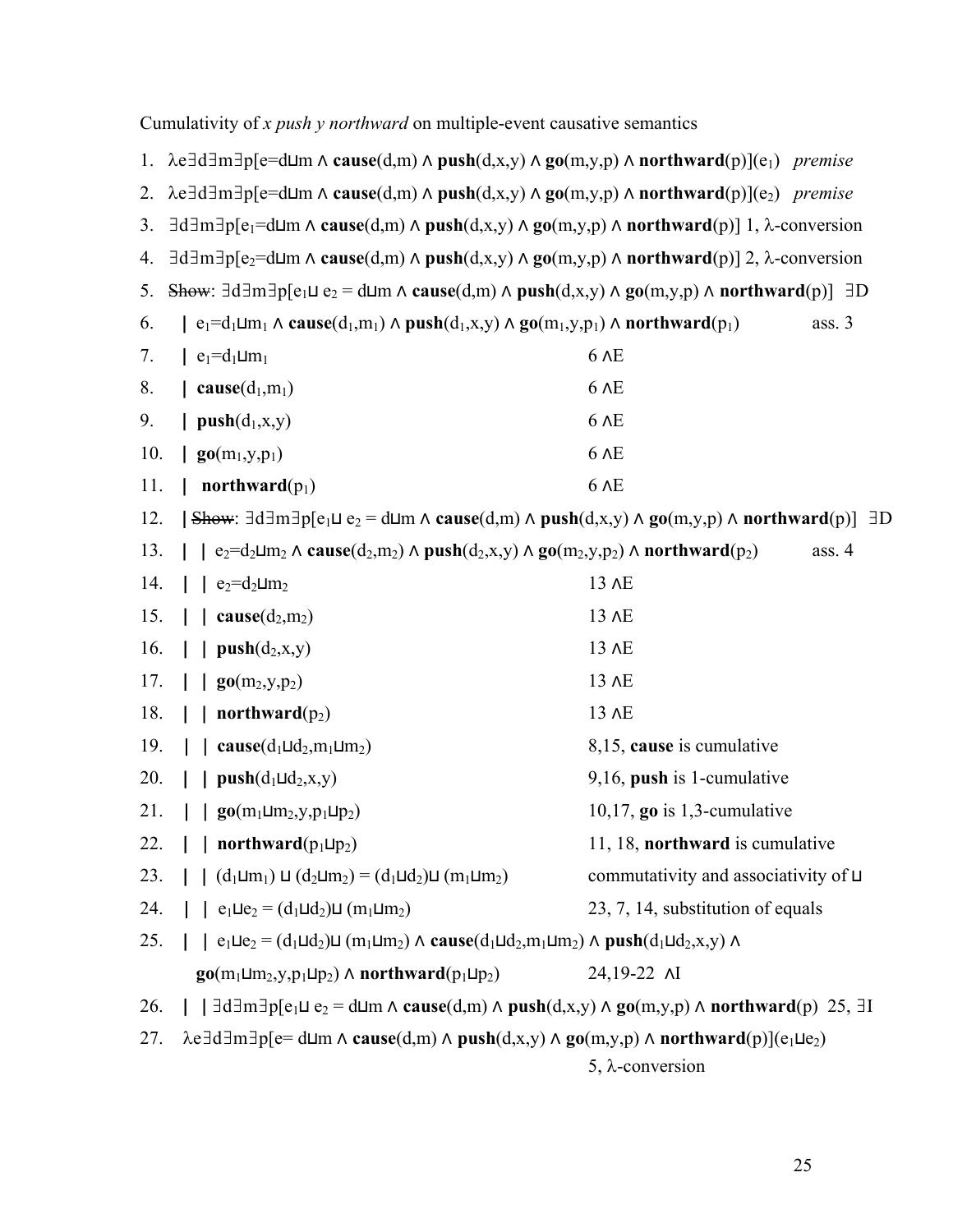|     | 1. $\lambda e \exists d \exists m \exists p [e=d \sqcup m \land cause(d,m) \land push(d,x,y) \land go(m,y,p) \land northward(p)](e_1)$ premise                                                                                      |                                             |  |  |  |  |
|-----|-------------------------------------------------------------------------------------------------------------------------------------------------------------------------------------------------------------------------------------|---------------------------------------------|--|--|--|--|
| 2.  | $\lambda e \exists d \exists m \exists p [e=d \sqcup m \land cause(d,m) \land push(d,x,y) \land go(m,y,p) \land northward(p)](e_2)$ premise                                                                                         |                                             |  |  |  |  |
| 3.  | $\exists d \exists m \exists p [e_1 = d \sqcup m \land \text{cause}(d,m) \land \text{push}(d,x,y) \land \text{go}(m,y,p) \land \text{northward}(p)]$ 1, $\lambda$ -conversion                                                       |                                             |  |  |  |  |
| 4.  | $\exists d \exists m \exists p [e_2 = d \sqcup m \land \text{cause}(d,m) \land \text{push}(d,x,y) \land \text{go}(m,y,p) \land \text{northward}(p)]$ 2, $\lambda$ -conversion                                                       |                                             |  |  |  |  |
| 5.  | Show: $\exists d \exists m \exists p [e_1 \sqcup e_2 = d \sqcup m \land cause(d,m) \land push(d,x,y) \land go(m,y,p) \land northward(p)] \exists D$                                                                                 |                                             |  |  |  |  |
| 6.  | $\mid$ e <sub>1</sub> =d <sub>1</sub> Lm <sub>1</sub> $\land$ cause(d <sub>1</sub> ,m <sub>1</sub> ) $\land$ push(d <sub>1</sub> ,x,y) $\land$ go(m <sub>1</sub> ,y,p <sub>1</sub> ) $\land$ northward(p <sub>1</sub> )<br>ass. $3$ |                                             |  |  |  |  |
| 7.  | $\leq e_1 = d_1 \sqcup m_1$                                                                                                                                                                                                         | $6$ $\triangle$ E                           |  |  |  |  |
| 8.  | cause( $d_1, m_1$ )                                                                                                                                                                                                                 | $6$ $\triangle$ E                           |  |  |  |  |
| 9.  | $push(d_1, x, y)$                                                                                                                                                                                                                   | $6$ $\triangle$ E                           |  |  |  |  |
| 10. | $\log_{10}(m_1, y, p_1)$                                                                                                                                                                                                            | 6 AE                                        |  |  |  |  |
| 11. | northward $(p_1)$                                                                                                                                                                                                                   | 6 AE                                        |  |  |  |  |
| 12. | $\exists$ bow: $\exists d \exists m \exists p [e_1 \sqcup e_2 = d \sqcup m \land \text{cause}(d,m) \land \text{push}(d,x,y) \land \text{go}(m,y,p) \land \text{northward}(p)] \exists D$                                            |                                             |  |  |  |  |
| 13. | $\vert$ e <sub>2</sub> =d <sub>2</sub> Lm <sub>2</sub> $\land$ cause(d <sub>2</sub> ,m <sub>2</sub> ) $\land$ push(d <sub>2</sub> ,x,y) $\land$ go(m <sub>2</sub> ,y,p <sub>2</sub> ) $\land$ northward(p <sub>2</sub> )            | ass. $4$                                    |  |  |  |  |
| 14. | $e_2 = d_2 \sqcup m_2$                                                                                                                                                                                                              | 13 AE                                       |  |  |  |  |
| 15. | $\text{cause}(d_2,m_2)$                                                                                                                                                                                                             | 13 AE                                       |  |  |  |  |
| 16. | $push(d_2, x, y)$                                                                                                                                                                                                                   | 13 AE                                       |  |  |  |  |
| 17. | $\mathbf{g_0} (m_2, y, p_2)$                                                                                                                                                                                                        | 13 AE                                       |  |  |  |  |
| 18. | northward $(p_2)$                                                                                                                                                                                                                   | 13 AE                                       |  |  |  |  |
| 19. | cause( $d_1 \sqcup d_2, m_1 \sqcup m_2$ )                                                                                                                                                                                           | 8,15, cause is cumulative                   |  |  |  |  |
| 20. | $push(d_1 \sqcup d_2, x, y)$                                                                                                                                                                                                        | $9,16$ , push is 1-cumulative               |  |  |  |  |
| 21. | $\log_{10}(m_1 \Box m_2, y, p_1 \Box p_2)$                                                                                                                                                                                          | 10,17, go is $1,3$ -cumulative              |  |  |  |  |
| 22. | northward( $p_1 \sqcup p_2$ )                                                                                                                                                                                                       | 11, 18, northward is cumulative             |  |  |  |  |
| 23. | $\int$ $(d_1 \sqcup m_1) \sqcup (d_2 \sqcup m_2) = (d_1 \sqcup d_2) \sqcup (m_1 \sqcup m_2)$                                                                                                                                        | commutativity and associativity of $\sqcup$ |  |  |  |  |
| 24. | $\int e_1 \text{d}e_2 = (d_1 \text{d}d_2) \text{d} (m_1 \text{d}m_2)$                                                                                                                                                               | 23, 7, 14, substitution of equals           |  |  |  |  |
| 25. | $  \cdot   e_1 \sqcup e_2 = (d_1 \sqcup d_2) \sqcup (m_1 \sqcup m_2) \land \text{cause}(d_1 \sqcup d_2, m_1 \sqcup m_2) \land \text{push}(d_1 \sqcup d_2, x, y) \land$                                                              |                                             |  |  |  |  |
|     | $\mathbf{go}(m_1 \sqcup m_2, y, p_1 \sqcup p_2) \wedge \mathbf{northward}(p_1 \sqcup p_2)$                                                                                                                                          | 24,19-22 AI                                 |  |  |  |  |
| 26. | $\vert$ $\vert$ $\exists$ d $\exists$ m $\exists$ p[e <sub>1</sub> $\sqcup$ e <sub>2</sub> = d $\sqcup$ m $\land$ cause(d,m) $\land$ push(d,x,y) $\land$ go(m,y,p) $\land$ northward(p) 25, $\exists$ I                             |                                             |  |  |  |  |
| 27. | $\lambda$ e $\exists$ d $\exists$ m $\exists$ p[e= d $\sqcup$ m $\land$ cause(d,m) $\land$ push(d,x,y) $\land$ go(m,y,p) $\land$ northward(p)](e <sub>1</sub> $\sqcup$ e <sub>2</sub> )                                             |                                             |  |  |  |  |
|     |                                                                                                                                                                                                                                     | $5, \lambda$ -conversion                    |  |  |  |  |

Cumulativity of *x push y northward* on multiple-event causative semantics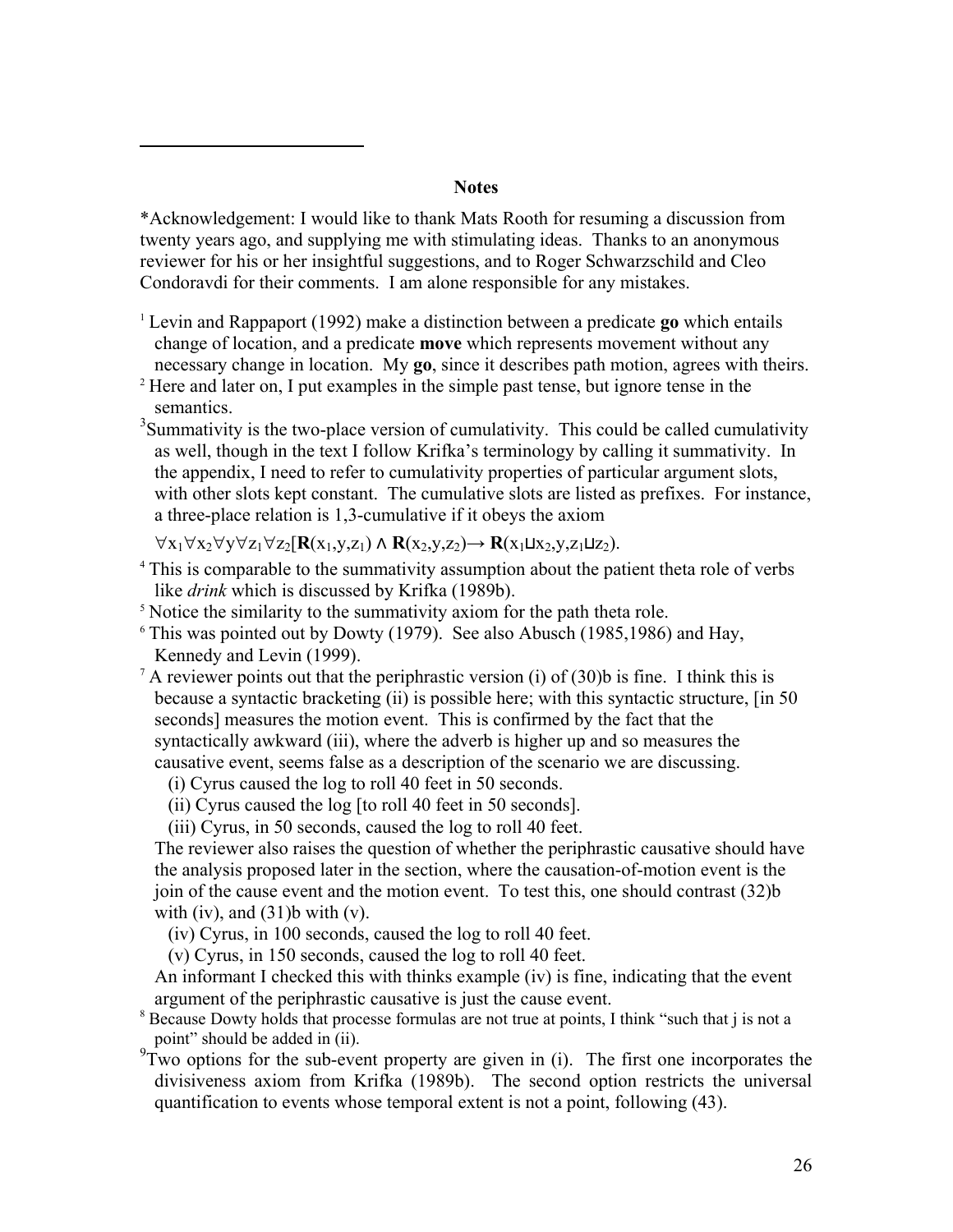## **Notes**

\*Acknowledgement: I would like to thank Mats Rooth for resuming a discussion from twenty years ago, and supplying me with stimulating ideas. Thanks to an anonymous reviewer for his or her insightful suggestions, and to Roger Schwarzschild and Cleo Condoravdi for their comments. I am alone responsible for any mistakes.

- <sup>1</sup> Levin and Rappaport (1992) make a distinction between a predicate **go** which entails change of location, and a predicate **move** which represents movement without any
- necessary change in location. My **go**, since it describes path motion, agrees with theirs.<br><sup>2</sup> Here and later on, I put examples in the simple past tense, but ignore tense in the semantics.
- $3$ Summativity is the two-place version of cumulativity. This could be called cumulativity as well, though in the text I follow Krifka's terminology by calling it summativity. In the appendix, I need to refer to cumulativity properties of particular argument slots, with other slots kept constant. The cumulative slots are listed as prefixes. For instance, a three-place relation is 1,3-cumulative if it obeys the axiom

∀x1∀x2∀y∀z1∀z2[**R**(x1,y,z1) ⋀ **R**(x2,y,z2)→ **R**(x1⊔x2,y,z1⊔z2).

1

- <sup>4</sup> This is comparable to the summativity assumption about the patient theta role of verbs like *drink* which is discussed by Krifka (1989b).<br><sup>5</sup> Notice the similarity to the summativity axiom for the path theta role.
- 
- <sup>6</sup> This was pointed out by Dowty (1979). See also Abusch (1985,1986) and Hay, Kennedy and Levin (1999).<br><sup>7</sup> A reviewer points out that the periphrastic version (i) of (30)b is fine. I think this is
- because a syntactic bracketing (ii) is possible here; with this syntactic structure, [in 50 seconds] measures the motion event. This is confirmed by the fact that the syntactically awkward (iii), where the adverb is higher up and so measures the causative event, seems false as a description of the scenario we are discussing.
	- (i) Cyrus caused the log to roll 40 feet in 50 seconds.
	- (ii) Cyrus caused the log [to roll 40 feet in 50 seconds].
	- (iii) Cyrus, in 50 seconds, caused the log to roll 40 feet.

The reviewer also raises the question of whether the periphrastic causative should have the analysis proposed later in the section, where the causation-of-motion event is the join of the cause event and the motion event. To test this, one should contrast (32)b with (iv), and  $(31)$ b with (v).

(iv) Cyrus, in 100 seconds, caused the log to roll 40 feet.

(v) Cyrus, in 150 seconds, caused the log to roll 40 feet.

An informant I checked this with thinks example (iv) is fine, indicating that the event argument of the periphrastic causative is just the cause event.<br><sup>8</sup> Because Dowty holds that processe formulas are not true at points, I think "such that j is not a

point" should be added in (ii).

 $9T$  wo options for the sub-event property are given in (i). The first one incorporates the divisiveness axiom from Krifka (1989b). The second option restricts the universal quantification to events whose temporal extent is not a point, following (43).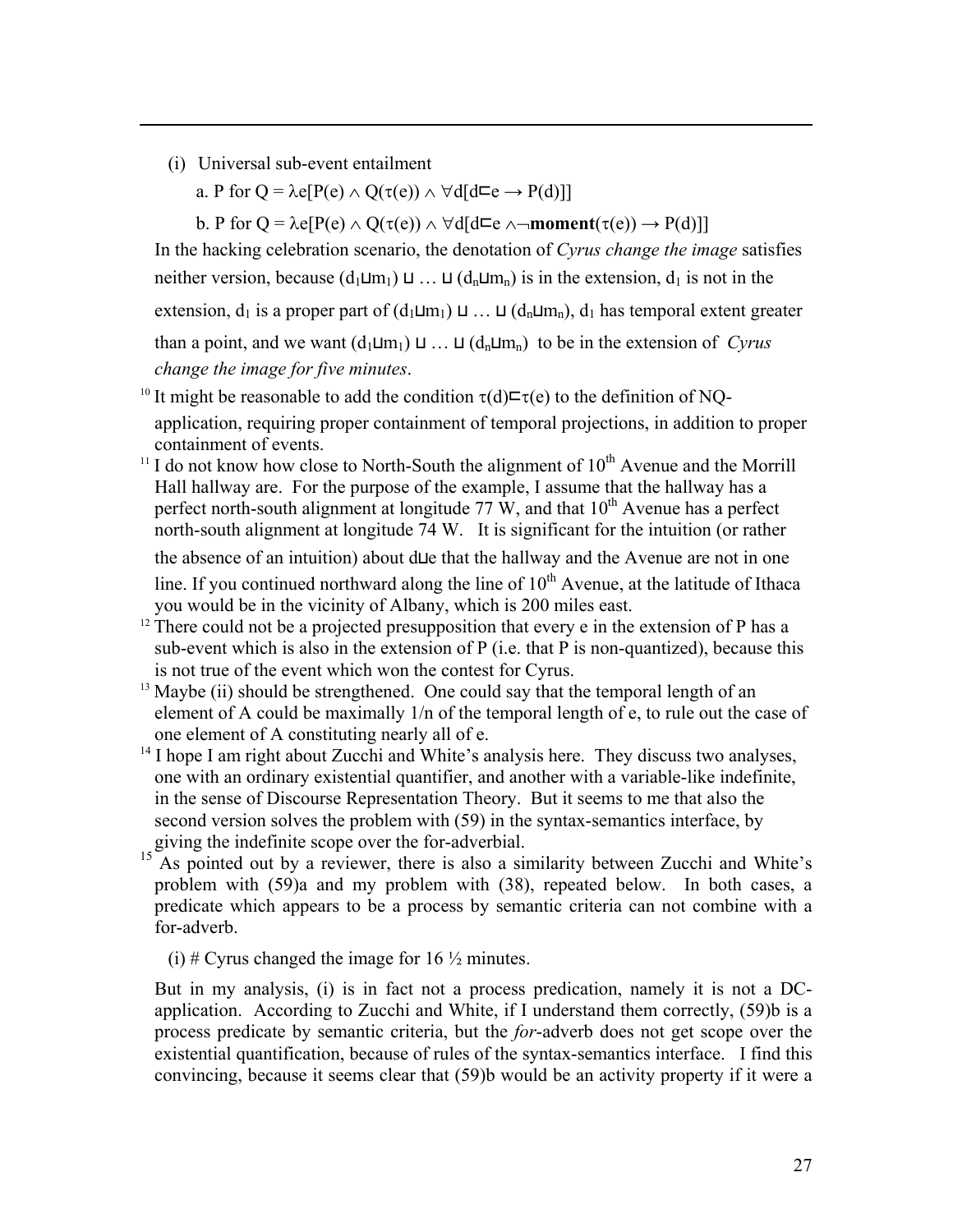(i) Universal sub-event entailment

1

a. P for  $Q = \lambda e[P(e) \wedge Q(\tau(e)) \wedge \forall d[d\sqsubset e \rightarrow P(d)]$ 

b. P for  $Q = \lambda e[P(e) \wedge Q(\tau(e)) \wedge \forall d[d\sqsubseteq e \wedge \neg \textbf{moment}(\tau(e)) \rightarrow P(d)]$ 

In the hacking celebration scenario, the denotation of *Cyrus change the image* satisfies neither version, because  $(d_1 \sqcup m_1) \sqcup ... \sqcup (d_n \sqcup m_n)$  is in the extension,  $d_1$  is not in the extension,  $d_1$  is a proper part of  $(d_1 \sqcup m_1) \sqcup ... \sqcup (d_n \sqcup m_n)$ ,  $d_1$  has temporal extent greater than a point, and we want  $(d_1\sqcup m_1) \sqcup ... \sqcup (d_n\sqcup m_n)$  to be in the extension of *Cyrus change the image for five minutes*.

- <sup>10</sup> It might be reasonable to add the condition  $\tau(d) \equiv \tau(e)$  to the definition of NOapplication, requiring proper containment of temporal projections, in addition to proper containment of events.<br><sup>11</sup> I do not know how close to North-South the alignment of  $10^{th}$  Avenue and the Morrill
- Hall hallway are. For the purpose of the example, I assume that the hallway has a perfect north-south alignment at longitude 77 W, and that  $10<sup>th</sup>$  Avenue has a perfect north-south alignment at longitude 74 W. It is significant for the intuition (or rather

the absence of an intuition) about d⊔e that the hallway and the Avenue are not in one line. If you continued northward along the line of  $10<sup>th</sup>$  Avenue, at the latitude of Ithaca you would be in the vicinity of Albany, which is 200 miles east. 12 There could not be a projected presupposition that every e in the extension of P has a

- sub-event which is also in the extension of P (i.e. that P is non-quantized), because this is not true of the event which won the contest for Cyrus. 13 Maybe (ii) should be strengthened. One could say that the temporal length of an
- element of A could be maximally 1/n of the temporal length of e, to rule out the case of one element of A constituting nearly all of e.
- <sup>14</sup> I hope I am right about Zucchi and White's analysis here. They discuss two analyses, one with an ordinary existential quantifier, and another with a variable-like indefinite, in the sense of Discourse Representation Theory. But it seems to me that also the second version solves the problem with (59) in the syntax-semantics interface, by giving the indefinite scope over the for-adverbial.
- <sup>15</sup> As pointed out by a reviewer, there is also a similarity between Zucchi and White's problem with (59)a and my problem with (38), repeated below. In both cases, a predicate which appears to be a process by semantic criteria can not combine with a for-adverb.
	- (i) # Cyrus changed the image for  $16 \frac{1}{2}$  minutes.

But in my analysis, (i) is in fact not a process predication, namely it is not a DCapplication. According to Zucchi and White, if I understand them correctly, (59)b is a process predicate by semantic criteria, but the *for*-adverb does not get scope over the existential quantification, because of rules of the syntax-semantics interface. I find this convincing, because it seems clear that (59)b would be an activity property if it were a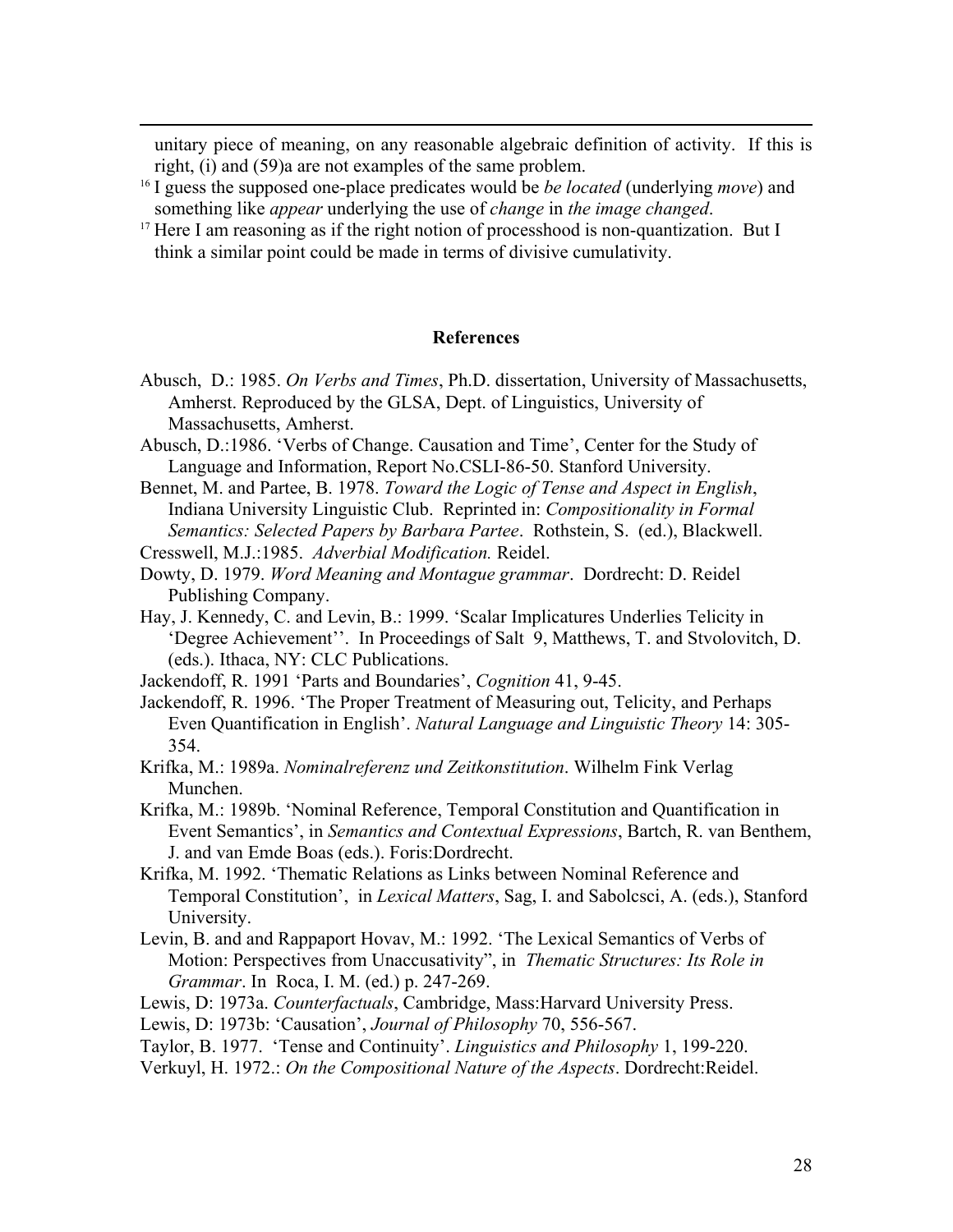unitary piece of meaning, on any reasonable algebraic definition of activity. If this is right, (i) and (59)a are not examples of the same problem. 16 I guess the supposed one-place predicates would be *be located* (underlying *move*) and

something like *appear* underlying the use of *change* in *the image changed*. 17 Here I am reasoning as if the right notion of processhood is non-quantization. But I

1

think a similar point could be made in terms of divisive cumulativity.

#### **References**

- Abusch, D.: 1985. *On Verbs and Times*, Ph.D. dissertation, University of Massachusetts, Amherst. Reproduced by the GLSA, Dept. of Linguistics, University of Massachusetts, Amherst.
- Abusch, D.:1986. 'Verbs of Change. Causation and Time', Center for the Study of Language and Information, Report No.CSLI-86-50. Stanford University.

Bennet, M. and Partee, B. 1978. *Toward the Logic of Tense and Aspect in English*, Indiana University Linguistic Club. Reprinted in: *Compositionality in Formal Semantics: Selected Papers by Barbara Partee*. Rothstein, S. (ed.), Blackwell. Cresswell, M.J.:1985. *Adverbial Modification.* Reidel.

Dowty, D. 1979. *Word Meaning and Montague grammar*. Dordrecht: D. Reidel Publishing Company.

Hay, J. Kennedy, C. and Levin, B.: 1999. 'Scalar Implicatures Underlies Telicity in 'Degree Achievement''. In Proceedings of Salt 9, Matthews, T. and Stvolovitch, D. (eds.). Ithaca, NY: CLC Publications.

- Jackendoff, R. 1991 'Parts and Boundaries', *Cognition* 41, 9-45.
- Jackendoff, R. 1996. 'The Proper Treatment of Measuring out, Telicity, and Perhaps Even Quantification in English'. *Natural Language and Linguistic Theory* 14: 305- 354.
- Krifka, M.: 1989a. *Nominalreferenz und Zeitkonstitution*. Wilhelm Fink Verlag Munchen.
- Krifka, M.: 1989b. 'Nominal Reference, Temporal Constitution and Quantification in Event Semantics', in *Semantics and Contextual Expressions*, Bartch, R. van Benthem, J. and van Emde Boas (eds.). Foris:Dordrecht.
- Krifka, M. 1992. 'Thematic Relations as Links between Nominal Reference and Temporal Constitution', in *Lexical Matters*, Sag, I. and Sabolcsci, A. (eds.), Stanford University.
- Levin, B. and and Rappaport Hovav, M.: 1992. 'The Lexical Semantics of Verbs of Motion: Perspectives from Unaccusativity", in *Thematic Structures: Its Role in Grammar*. In Roca, I. M. (ed.) p. 247-269.
- Lewis, D: 1973a. *Counterfactuals*, Cambridge, Mass:Harvard University Press.

Lewis, D: 1973b: 'Causation', *Journal of Philosophy* 70, 556-567.

- Taylor, B. 1977. 'Tense and Continuity'. *Linguistics and Philosophy* 1, 199-220.
- Verkuyl, H. 1972.: *On the Compositional Nature of the Aspects*. Dordrecht:Reidel.